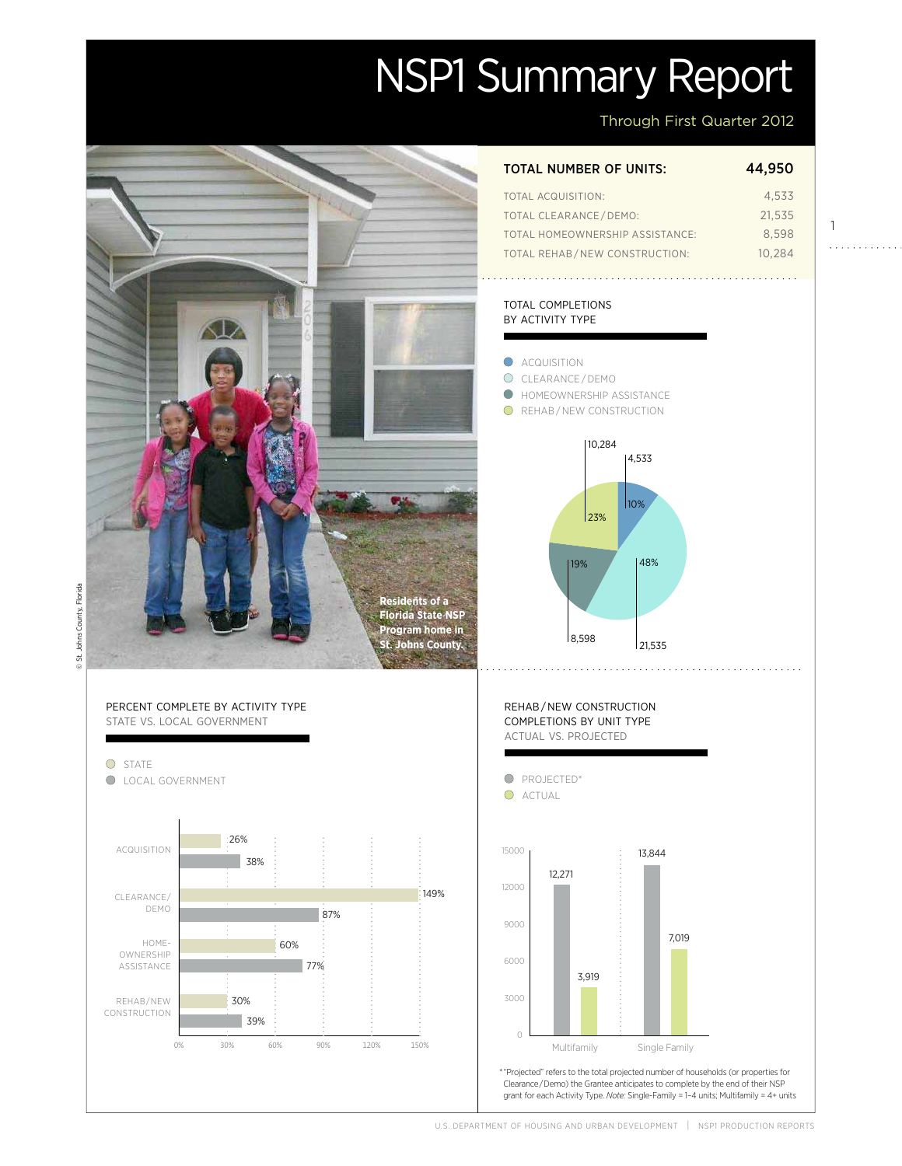# NSP1 Summary Report

Through First Quarter 2012

1

. . . . . . . . . . . .

Actual

149%

Projected

Projected

| <b>TOTAL NUMBER OF UNITS:</b>   | 44.950 |
|---------------------------------|--------|
| TOTAL ACQUISITION:              | 4.533  |
| <b>TOTAL CLEARANCE/DEMO:</b>    | 21.535 |
| TOTAL HOMEOWNERSHIP ASSISTANCE: | 8.598  |
| TOTAL REHAB/NEW CONSTRUCTION:   | 10.284 |

#### total completions by activity type



© St. Johns County, Florida © St. Johns County, Florida



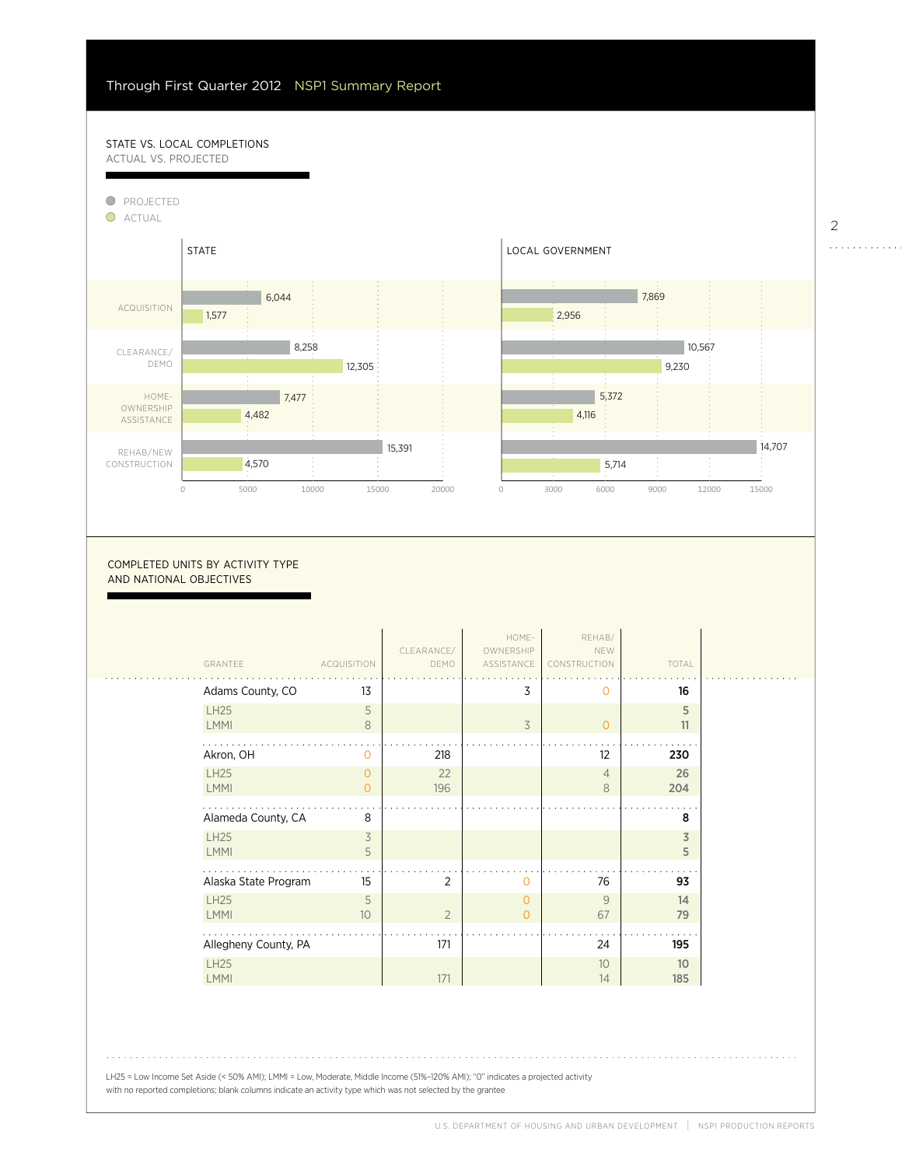39%

60%

#### STATE VS. LOCAL COMPLETIONS actual vs. projected





| GRANTEE                    | <b>ACQUISITION</b> | CLEARANCE/<br>DEMO | HOME-<br>OWNERSHIP<br>ASSISTANCE | REHAB/<br>NEW<br>CONSTRUCTION | TOTAL     |
|----------------------------|--------------------|--------------------|----------------------------------|-------------------------------|-----------|
| Adams County, CO           | 13                 |                    | 3                                | $\Omega$                      | 16        |
| <b>LH25</b><br><b>LMMI</b> | 5<br>8             |                    | $\overline{3}$                   | 0                             | 5<br>11   |
| Akron, OH                  | $\Omega$           | 218                |                                  | $12 \overline{ }$             | 230       |
| <b>LH25</b><br><b>LMMI</b> | 0<br>$\Omega$      | 22<br>196          |                                  | $\overline{4}$<br>8           | 26<br>204 |
| Alameda County, CA         | 8                  |                    |                                  |                               | 8         |
| <b>LH25</b><br>LMMI        | 3<br>5             |                    |                                  |                               | 3<br>5    |
| Alaska State Program       | 15                 | 2                  | $\overline{0}$                   | 76                            | 93        |
| <b>LH25</b><br><b>LMMI</b> | 5<br>10            | $\overline{2}$     | $\circ$<br>$\Omega$              | 9<br>67                       | 14<br>79  |
| Allegheny County, PA       |                    | 171                |                                  | 24                            | 195       |
| <b>LH25</b><br><b>LMMI</b> |                    | 171                |                                  | 10<br>14                      | 10<br>185 |

LH25 = Low Income Set Aside (< 50% AMI); LMMI = Low, Moderate, Middle Income (51%–120% AMI); "0" indicates a projected activity with no reported completions; blank columns indicate an activity type which was not selected by the grantee

. . . . . . . . . . . .

<u>. . . . . . . . . .</u>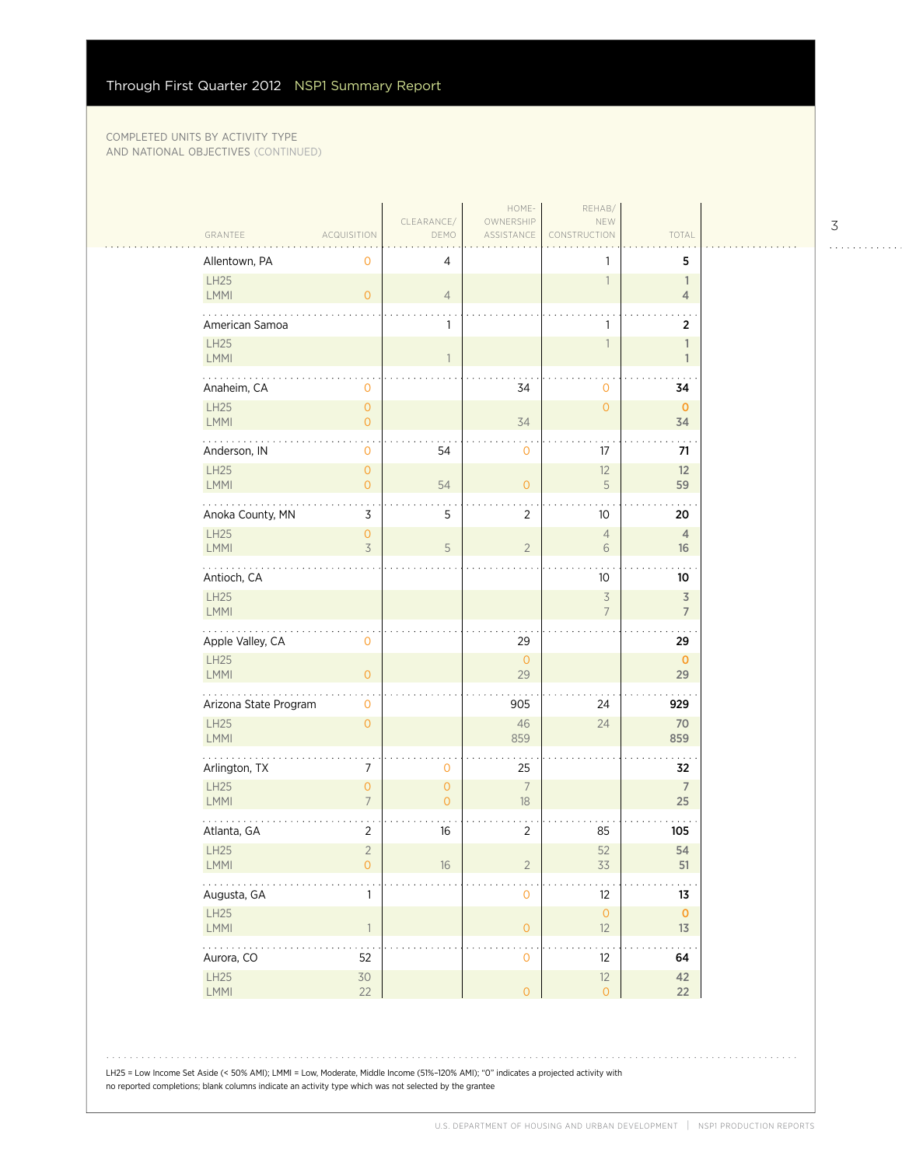$\sim$  .

| Allentown, PA<br>5<br>4<br>0<br>LH25<br>$\overline{1}$<br>$\mathbb{1}$<br><b>LMMI</b><br>$\overline{O}$<br>$\overline{4}$<br>$\overline{4}$<br>American Samoa<br>1<br>$\overline{\mathbf{2}}$<br>1<br><b>LH25</b><br>$\mathbb{1}$<br>$\overline{1}$<br>LMMI<br>$\mathbf{1}$<br>34<br>Anaheim, CA<br>34<br>0<br>0<br>LH25<br>$\circ$<br>$\mathbf{O}$<br>$\mathbf{0}$<br><b>LMMI</b><br>$\overline{O}$<br>34<br>34<br>.<br>Anderson, IN<br>54<br>17<br>$\mathbf 0$<br>$\mathbf 0$<br>71<br>LH25<br>$\mathsf{O}\xspace$<br>12<br>12<br><b>LMMI</b><br>54<br>5<br>59<br>$\overline{0}$<br>$\overline{0}$<br>. .<br>Anoka County, MN<br>3<br>5<br>$\overline{2}$<br>10<br>20<br><b>LH25</b><br>$\mathsf{O}\xspace$<br>$\overline{4}$<br>$\overline{4}$<br>$\overline{3}$<br><b>LMMI</b><br>5<br>$\overline{2}$<br>6<br>16<br>.<br>Antioch, CA<br>10<br>10<br>LH25<br>$\overline{\mathcal{S}}$<br>$\overline{3}$<br><b>LMMI</b><br>$\overline{7}$<br>$\overline{7}$<br>Apple Valley, CA<br>29<br>29<br>$\mathbf{O}$<br>LH25<br>$\circ$<br>$\mathbf 0$<br>LMMI<br>29<br>$\overline{O}$<br>29<br>Arizona State Program<br>905<br>24<br>929<br>$\mathbf{O}$<br><b>LH25</b><br>46<br>24<br>70<br>$\overline{0}$<br>LMMI<br>859<br>859<br>Arlington, TX<br>$\overline{7}$<br>25<br>32<br>0<br>LH25<br>$\overline{7}$<br>$\overline{7}$<br>$\overline{O}$<br>$\overline{0}$<br><b>LMMI</b><br>$\overline{7}$<br>$\overline{0}$<br>$18\,$<br>25<br>Atlanta, GA<br>$\overline{2}$<br>85<br>16<br>$\overline{2}$<br>105<br>LH25<br>$\overline{2}$<br>52<br>54<br>LMMI<br>$\overline{2}$<br>33<br>51<br>$\mathsf O$<br>$16\,$<br>.<br>Augusta, GA<br>$\mathsf{O}\xspace$<br>12<br>13<br>$\mathbf{1}$ | GRANTEE<br><b>ACQUISITION</b> | CLEARANCE/<br>DEMO | HOME-<br>OWNERSHIP<br>ASSISTANCE | REHAB/<br>NEW<br>CONSTRUCTION | TOTAL |
|--------------------------------------------------------------------------------------------------------------------------------------------------------------------------------------------------------------------------------------------------------------------------------------------------------------------------------------------------------------------------------------------------------------------------------------------------------------------------------------------------------------------------------------------------------------------------------------------------------------------------------------------------------------------------------------------------------------------------------------------------------------------------------------------------------------------------------------------------------------------------------------------------------------------------------------------------------------------------------------------------------------------------------------------------------------------------------------------------------------------------------------------------------------------------------------------------------------------------------------------------------------------------------------------------------------------------------------------------------------------------------------------------------------------------------------------------------------------------------------------------------------------------------------------------------------------------------------------------------------------------------------------------------------------------------------|-------------------------------|--------------------|----------------------------------|-------------------------------|-------|
|                                                                                                                                                                                                                                                                                                                                                                                                                                                                                                                                                                                                                                                                                                                                                                                                                                                                                                                                                                                                                                                                                                                                                                                                                                                                                                                                                                                                                                                                                                                                                                                                                                                                                      |                               |                    |                                  |                               |       |
|                                                                                                                                                                                                                                                                                                                                                                                                                                                                                                                                                                                                                                                                                                                                                                                                                                                                                                                                                                                                                                                                                                                                                                                                                                                                                                                                                                                                                                                                                                                                                                                                                                                                                      |                               |                    |                                  |                               |       |
|                                                                                                                                                                                                                                                                                                                                                                                                                                                                                                                                                                                                                                                                                                                                                                                                                                                                                                                                                                                                                                                                                                                                                                                                                                                                                                                                                                                                                                                                                                                                                                                                                                                                                      |                               |                    |                                  |                               |       |
|                                                                                                                                                                                                                                                                                                                                                                                                                                                                                                                                                                                                                                                                                                                                                                                                                                                                                                                                                                                                                                                                                                                                                                                                                                                                                                                                                                                                                                                                                                                                                                                                                                                                                      |                               |                    |                                  |                               |       |
|                                                                                                                                                                                                                                                                                                                                                                                                                                                                                                                                                                                                                                                                                                                                                                                                                                                                                                                                                                                                                                                                                                                                                                                                                                                                                                                                                                                                                                                                                                                                                                                                                                                                                      |                               |                    |                                  |                               |       |
|                                                                                                                                                                                                                                                                                                                                                                                                                                                                                                                                                                                                                                                                                                                                                                                                                                                                                                                                                                                                                                                                                                                                                                                                                                                                                                                                                                                                                                                                                                                                                                                                                                                                                      |                               |                    |                                  |                               |       |
|                                                                                                                                                                                                                                                                                                                                                                                                                                                                                                                                                                                                                                                                                                                                                                                                                                                                                                                                                                                                                                                                                                                                                                                                                                                                                                                                                                                                                                                                                                                                                                                                                                                                                      |                               |                    |                                  |                               |       |
|                                                                                                                                                                                                                                                                                                                                                                                                                                                                                                                                                                                                                                                                                                                                                                                                                                                                                                                                                                                                                                                                                                                                                                                                                                                                                                                                                                                                                                                                                                                                                                                                                                                                                      |                               |                    |                                  |                               |       |
|                                                                                                                                                                                                                                                                                                                                                                                                                                                                                                                                                                                                                                                                                                                                                                                                                                                                                                                                                                                                                                                                                                                                                                                                                                                                                                                                                                                                                                                                                                                                                                                                                                                                                      |                               |                    |                                  |                               |       |
|                                                                                                                                                                                                                                                                                                                                                                                                                                                                                                                                                                                                                                                                                                                                                                                                                                                                                                                                                                                                                                                                                                                                                                                                                                                                                                                                                                                                                                                                                                                                                                                                                                                                                      |                               |                    |                                  |                               |       |
|                                                                                                                                                                                                                                                                                                                                                                                                                                                                                                                                                                                                                                                                                                                                                                                                                                                                                                                                                                                                                                                                                                                                                                                                                                                                                                                                                                                                                                                                                                                                                                                                                                                                                      |                               |                    |                                  |                               |       |
|                                                                                                                                                                                                                                                                                                                                                                                                                                                                                                                                                                                                                                                                                                                                                                                                                                                                                                                                                                                                                                                                                                                                                                                                                                                                                                                                                                                                                                                                                                                                                                                                                                                                                      |                               |                    |                                  |                               |       |
|                                                                                                                                                                                                                                                                                                                                                                                                                                                                                                                                                                                                                                                                                                                                                                                                                                                                                                                                                                                                                                                                                                                                                                                                                                                                                                                                                                                                                                                                                                                                                                                                                                                                                      |                               |                    |                                  |                               |       |
|                                                                                                                                                                                                                                                                                                                                                                                                                                                                                                                                                                                                                                                                                                                                                                                                                                                                                                                                                                                                                                                                                                                                                                                                                                                                                                                                                                                                                                                                                                                                                                                                                                                                                      |                               |                    |                                  |                               |       |
|                                                                                                                                                                                                                                                                                                                                                                                                                                                                                                                                                                                                                                                                                                                                                                                                                                                                                                                                                                                                                                                                                                                                                                                                                                                                                                                                                                                                                                                                                                                                                                                                                                                                                      |                               |                    |                                  |                               |       |
|                                                                                                                                                                                                                                                                                                                                                                                                                                                                                                                                                                                                                                                                                                                                                                                                                                                                                                                                                                                                                                                                                                                                                                                                                                                                                                                                                                                                                                                                                                                                                                                                                                                                                      |                               |                    |                                  |                               |       |
|                                                                                                                                                                                                                                                                                                                                                                                                                                                                                                                                                                                                                                                                                                                                                                                                                                                                                                                                                                                                                                                                                                                                                                                                                                                                                                                                                                                                                                                                                                                                                                                                                                                                                      |                               |                    |                                  |                               |       |
|                                                                                                                                                                                                                                                                                                                                                                                                                                                                                                                                                                                                                                                                                                                                                                                                                                                                                                                                                                                                                                                                                                                                                                                                                                                                                                                                                                                                                                                                                                                                                                                                                                                                                      |                               |                    |                                  |                               |       |
|                                                                                                                                                                                                                                                                                                                                                                                                                                                                                                                                                                                                                                                                                                                                                                                                                                                                                                                                                                                                                                                                                                                                                                                                                                                                                                                                                                                                                                                                                                                                                                                                                                                                                      |                               |                    |                                  |                               |       |
|                                                                                                                                                                                                                                                                                                                                                                                                                                                                                                                                                                                                                                                                                                                                                                                                                                                                                                                                                                                                                                                                                                                                                                                                                                                                                                                                                                                                                                                                                                                                                                                                                                                                                      |                               |                    |                                  |                               |       |
|                                                                                                                                                                                                                                                                                                                                                                                                                                                                                                                                                                                                                                                                                                                                                                                                                                                                                                                                                                                                                                                                                                                                                                                                                                                                                                                                                                                                                                                                                                                                                                                                                                                                                      |                               |                    |                                  |                               |       |
| LH25<br>$\bullet$<br>$\bullet$<br>LMMI<br>$\overline{1}$<br>$\mathsf{O}\xspace$<br>12<br>13 <sup>7</sup>                                                                                                                                                                                                                                                                                                                                                                                                                                                                                                                                                                                                                                                                                                                                                                                                                                                                                                                                                                                                                                                                                                                                                                                                                                                                                                                                                                                                                                                                                                                                                                             |                               |                    |                                  |                               |       |
| .<br>$\ddot{\phantom{0}}$<br>52<br>Aurora, CO<br>12<br>$\mathsf{O}\xspace$<br>64                                                                                                                                                                                                                                                                                                                                                                                                                                                                                                                                                                                                                                                                                                                                                                                                                                                                                                                                                                                                                                                                                                                                                                                                                                                                                                                                                                                                                                                                                                                                                                                                     |                               |                    |                                  |                               |       |
| LH25<br>30<br>12<br>42<br>LMMI<br>22<br>$\mathsf{O}\xspace$<br>22<br>$\overline{O}$                                                                                                                                                                                                                                                                                                                                                                                                                                                                                                                                                                                                                                                                                                                                                                                                                                                                                                                                                                                                                                                                                                                                                                                                                                                                                                                                                                                                                                                                                                                                                                                                  |                               |                    |                                  |                               |       |

LH25 = Low Income Set Aside (< 50% AMI); LMMI = Low, Moderate, Middle Income (51%–120% AMI); "0" indicates a projected activity with no reported completions; blank columns indicate an activity type which was not selected by the grantee

3

. . . . . . . . . . . .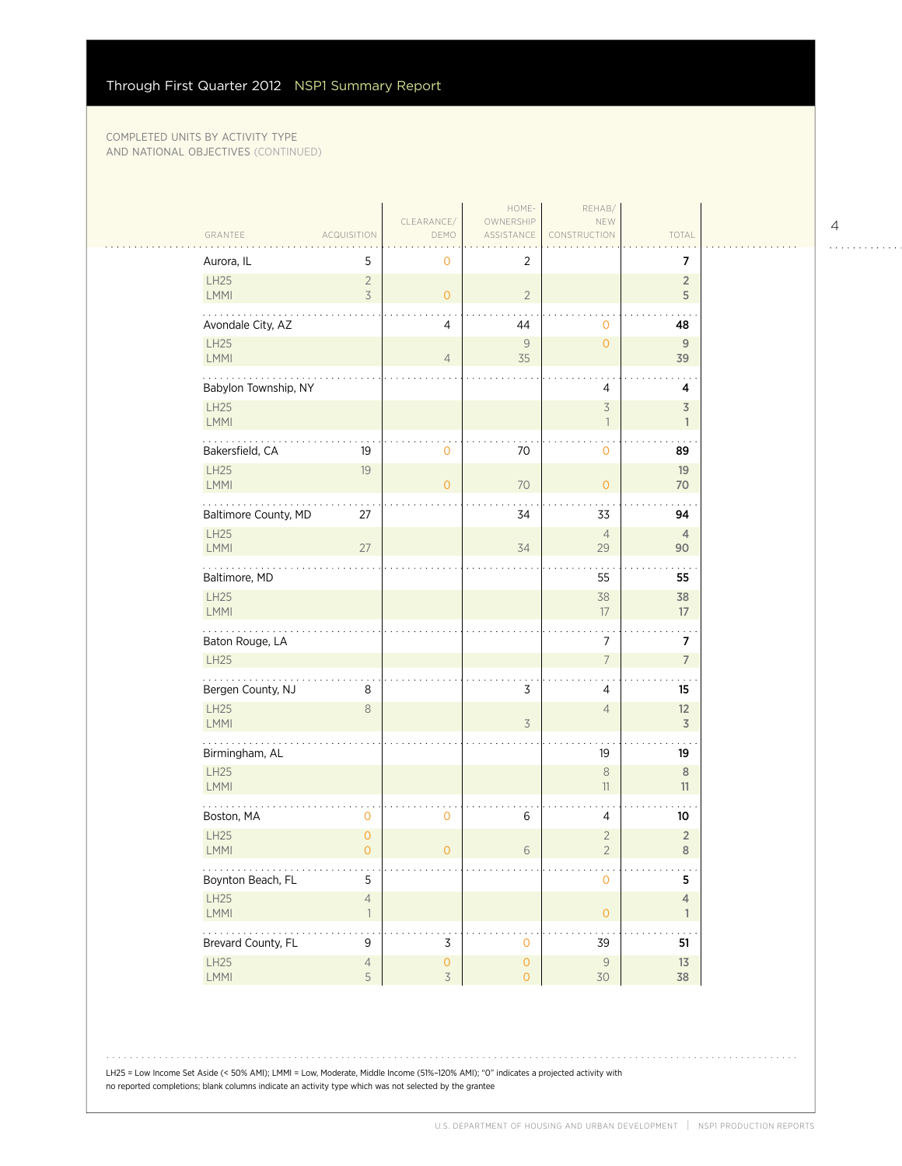$\sim$  . . . .

| GRANTEE                 | <b>ACQUISITION</b>                    | CLEARANCE/<br>DEMO                              | HOME-<br>OWNERSHIP<br>ASSISTANCE | REHAB/<br>NEW<br>CONSTRUCTION    | TOTAL                          |  |
|-------------------------|---------------------------------------|-------------------------------------------------|----------------------------------|----------------------------------|--------------------------------|--|
| Aurora, IL              | 5                                     | $\mathbf 0$                                     | $\overline{2}$                   |                                  | $\overline{7}$                 |  |
| LH25<br>LMMI            | $\sqrt{2}$<br>$\overline{3}$          | $\overline{O}$                                  | $\overline{2}$                   |                                  | $\overline{2}$<br>5            |  |
| Avondale City, AZ       |                                       | 4                                               | 44                               | $\mathbf{O}$                     | 48                             |  |
| <b>LH25</b><br>LMMI     |                                       | $\overline{4}$                                  | 9<br>35                          | $\overline{O}$                   | 9<br>39                        |  |
| Babylon Township, NY    |                                       |                                                 |                                  | 4                                | 4                              |  |
| <b>LH25</b><br>LMMI     |                                       |                                                 |                                  | $\overline{3}$<br>$\overline{1}$ | $\overline{3}$<br>1            |  |
| Bakersfield, CA         | 19                                    | 0                                               | 70                               | $\mathbf 0$                      | 89                             |  |
| <b>LH25</b><br>LMMI     | 19                                    | $\circ$                                         | $70$                             | $\circ$                          | 19<br>70                       |  |
| Baltimore County, MD    | 27                                    |                                                 | 34                               | 33                               | 94                             |  |
| <b>LH25</b><br>LMMI     | 27                                    |                                                 | 34                               | $\overline{4}$<br>29             | $\overline{4}$<br>90           |  |
| .<br>Baltimore, MD      |                                       |                                                 |                                  | 55                               | 55                             |  |
| <b>LH25</b><br>LMMI     |                                       |                                                 |                                  | 38<br>17                         | 38<br>17                       |  |
| Baton Rouge, LA         |                                       |                                                 |                                  | $\overline{7}$                   | 7                              |  |
| <b>LH25</b>             |                                       |                                                 |                                  | $\overline{7}$                   | $\overline{7}$                 |  |
| Bergen County, NJ       | 8                                     |                                                 | 3                                | 4                                | 15                             |  |
| <b>LH25</b><br>LMMI     | 8                                     |                                                 | $\overline{\mathcal{S}}$         | $\overline{4}$                   | 12<br>3                        |  |
| Birmingham, AL          |                                       |                                                 |                                  | 19                               | 19                             |  |
| <b>LH25</b><br>LMMI     |                                       |                                                 |                                  | $\,8\,$<br>11                    | 8<br>11                        |  |
| Boston, MA              | $\mathbf 0$                           | $\mathbf 0$                                     | 6                                | 4                                | 10                             |  |
| LH25<br>LMMI            | $\mathsf{O}\xspace$<br>$\overline{0}$ | $\circ$                                         | 6                                | $\overline{2}$<br>$\overline{2}$ | $\overline{2}$<br>8            |  |
| .<br>Boynton Beach, FL  | $\sim$ $\sim$<br>5                    |                                                 |                                  | $\mathbf{O}$                     | 5                              |  |
| LH25<br>LMMI            | $\sqrt{4}$<br>$\overline{1}$          |                                                 |                                  | $\overline{O}$                   | $\overline{4}$<br>$\mathbf{1}$ |  |
| .<br>Brevard County, FL | . .<br>9                              | 3                                               | $\mathbf 0$                      | 39                               | 51                             |  |
| LH25<br>LMMI            | $\overline{4}$<br>5                   | $\mathsf{O}\xspace$<br>$\overline{\mathcal{S}}$ | $\mathsf{O}\xspace$<br>$\circ$   | 9<br>30                          | 13<br>38                       |  |
|                         |                                       |                                                 |                                  |                                  |                                |  |

LH25 = Low Income Set Aside (< 50% AMI); LMMI = Low, Moderate, Middle Income (51%–120% AMI); "0" indicates a projected activity with no reported completions; blank columns indicate an activity type which was not selected by the grantee

4

. . . . . . . . . . . .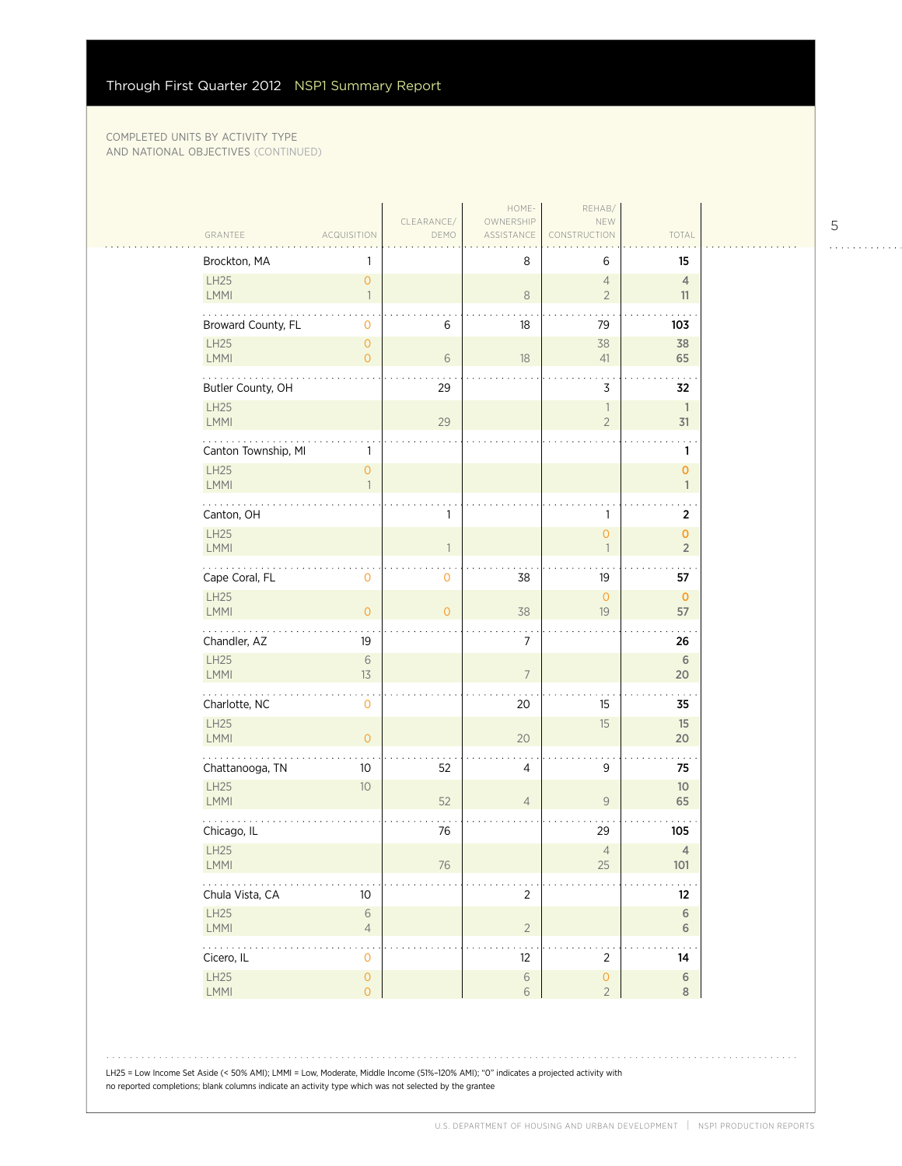| Brockton, MA                       |                                       |                | 8              | 6                                | 15                             |
|------------------------------------|---------------------------------------|----------------|----------------|----------------------------------|--------------------------------|
| LH25<br>LMMI                       | $\mathsf{O}\xspace$<br>$\overline{1}$ |                | $\,8\,$        | $\overline{4}$<br>$\overline{2}$ | $\overline{4}$<br>11           |
| Broward County, FL                 | 0                                     | 6              | 18             | 79                               | 103                            |
| LH25                               | $\overline{0}$                        |                |                | 38                               | 38                             |
| LMMI<br>.                          | $\overline{0}$                        | 6              | 18             | 41                               | 65                             |
| Butler County, OH                  |                                       | 29             |                | 3                                | 32                             |
| LH25<br>LMMI                       |                                       | 29             |                | 1<br>$\overline{2}$              | $\mathbf{1}$<br>31             |
| Canton Township, MI                | 1                                     |                |                |                                  | 1                              |
| LH25<br>LMMI                       | $\overline{0}$<br>$\mathbf{1}$        |                |                |                                  | $\mathbf{O}$<br>$\mathbf{1}$   |
| Canton, OH                         |                                       | 1              |                | 1                                | $\overline{2}$                 |
| LH25<br>LMMI                       |                                       |                |                | $\overline{O}$<br>1              | $\mathbf{O}$<br>$\overline{2}$ |
| .<br>Cape Coral, FL                | 0                                     | $\mathbf 0$    | 38             | 19                               | 57                             |
| LH25<br>LMMI                       | $\overline{O}$                        | $\overline{0}$ | 38             | $\mathsf O$<br>19                | $\mathbf{O}$<br>57             |
| Chandler, AZ                       | 19                                    |                | 7              |                                  | 26                             |
| LH25<br>LMMI                       | $\sqrt{6}$<br>13                      |                | $\overline{7}$ |                                  | 6<br>20                        |
| .<br>Charlotte, NC                 | 0                                     |                | 20             | 15                               | 35                             |
| LH25<br>LMMI                       | $\overline{O}$                        |                | 20             | 15                               | 15<br>20                       |
| Chattanooga, TN                    | 10                                    | 52             | 4              | 9                                | 75                             |
| LH25<br>LMMI                       | 10                                    | 52             | $\overline{4}$ | $\mathsf{9}$                     | 10<br>65                       |
| Chicago, IL                        |                                       | 76             |                | 29                               | 105                            |
| LH25<br><b>LMMI</b>                |                                       | 76             |                | $\overline{4}$<br>25             | $\overline{4}$<br>101          |
| Chula Vista, CA                    | 10                                    |                | 2              |                                  | 12                             |
| LH25<br><b>LMMI</b>                | $\sqrt{6}$<br>$\sqrt{4}$              |                | $\overline{2}$ |                                  | $\sqrt{6}$<br>6                |
| $\sim$ $\sim$ $\sim$<br>Cicero, IL | 0                                     |                | 12             | $\overline{2}$                   | 14                             |
| LH25                               | $\mathsf O$                           |                | $\sqrt{6}$     | $\mathsf{O}\xspace$              | $\sqrt{6}$                     |
| LMMI                               | $\overline{0}$                        |                | 6              | $\overline{2}$                   | $\,8\,$                        |

5

 $1.1.1.1.1.1.1.1.1.1$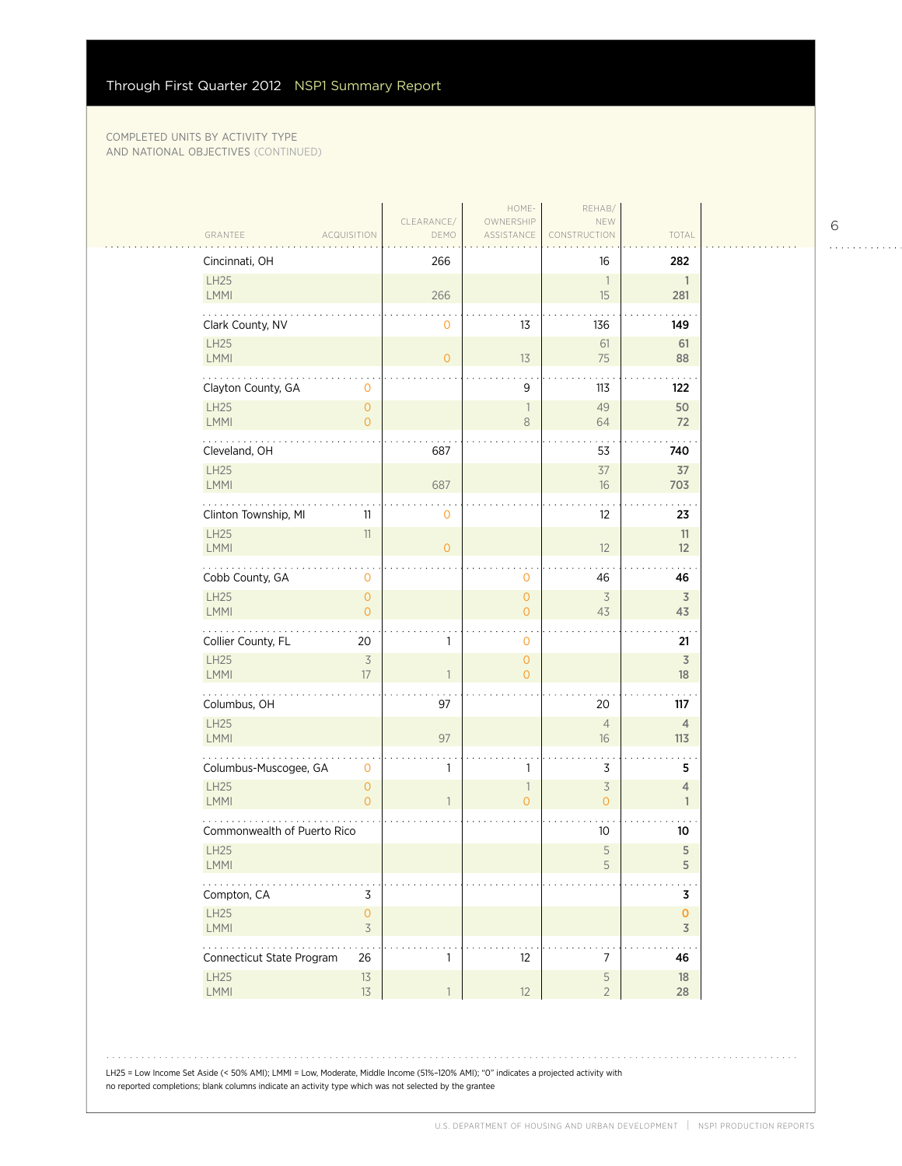$\sim$  .

| Cincinnati, OH                                   | 266                                                  |                                       | 16                                         | 282                            |
|--------------------------------------------------|------------------------------------------------------|---------------------------------------|--------------------------------------------|--------------------------------|
| LH25<br>LMMI                                     | 266                                                  |                                       | $\overline{\phantom{a}}$<br>15             | $\mathbf{1}$<br>281            |
| Clark County, NV                                 | $\mathbf 0$                                          | 13                                    | 136                                        | 149                            |
| LH25<br>LMMI                                     | $\overline{O}$                                       | 13                                    | 61<br>75                                   | 61<br>88                       |
| Clayton County, GA<br>$\circ$                    |                                                      | 9                                     | 113                                        | 122                            |
| <b>LH25</b><br>$\circ$<br>LMMI<br>$\overline{0}$ |                                                      | ı<br>8                                | 49<br>64                                   | 50<br>72                       |
| Cleveland, OH                                    | 687                                                  |                                       | 53                                         | 740                            |
| LH25<br>LMMI                                     | 687                                                  |                                       | 37<br>16                                   | 37<br>703                      |
| Clinton Township, MI<br>11                       | $\mathbf 0$                                          |                                       | 12                                         | 23                             |
| LH25<br>11<br>LMMI                               | $\overline{0}$                                       |                                       | 12                                         | 11<br>12                       |
| Cobb County, GA<br>$\mathbf 0$                   |                                                      | 0                                     | 46                                         | 46                             |
| LH25<br>$\circ$<br><b>LMMI</b>                   | $\overline{O}$                                       | $\mathsf{O}\xspace$<br>$\overline{0}$ | $\overline{3}$<br>43                       | $\overline{3}$<br>43           |
| Collier County, FL<br>20                         | $\mathbf{1}$                                         | 0                                     |                                            | 21                             |
| LH25<br>LMMI<br>17                               | $\overline{\mathcal{S}}$<br>$\overline{\phantom{a}}$ | $\overline{0}$<br>$\overline{0}$      |                                            | 3<br>18                        |
| .<br>Columbus, OH                                | 97                                                   |                                       | 20                                         | 117                            |
| LH25<br>LMMI                                     | 97                                                   |                                       | $\overline{4}$<br>16                       | $\overline{4}$<br>113          |
| Columbus-Muscogee, GA                            | 1<br>$\mathbf{0}$                                    | 1                                     | 3                                          | 5                              |
| <b>LH25</b><br>$\circ$<br>LMMI<br>$\overline{O}$ | $\mathbf{1}$                                         | 1<br>$\overline{0}$                   | $\overline{\mathcal{S}}$<br>$\overline{O}$ | $\overline{4}$<br>$\mathbf{1}$ |
| Commonwealth of Puerto Rico                      |                                                      |                                       | 10 <sup>°</sup>                            | 10                             |
| LH25<br>LMMI                                     |                                                      |                                       | 5<br>5                                     | 5<br>5                         |
| Compton, CA                                      | 3                                                    |                                       |                                            | 3                              |
| $\mathsf{O}\xspace$<br>LH25<br>LMMI              | $\preceq$                                            |                                       |                                            | 0<br>$\overline{3}$            |
| .<br>Connecticut State Program<br>26             | $\mathbf{1}$                                         | 12                                    | $\boldsymbol{7}$                           | 46                             |
| LH25<br>$13$<br>LMMI<br>13                       | $\mathbf{1}$                                         | 12                                    | $\mathsf S$<br>$\overline{2}$              | 18<br>28                       |

LH25 = Low Income Set Aside (< 50% AMI); LMMI = Low, Moderate, Middle Income (51%–120% AMI); "0" indicates a projected activity with no reported completions; blank columns indicate an activity type which was not selected by the grantee

6

 $1.1.1.1.1.1.1.1.1.1$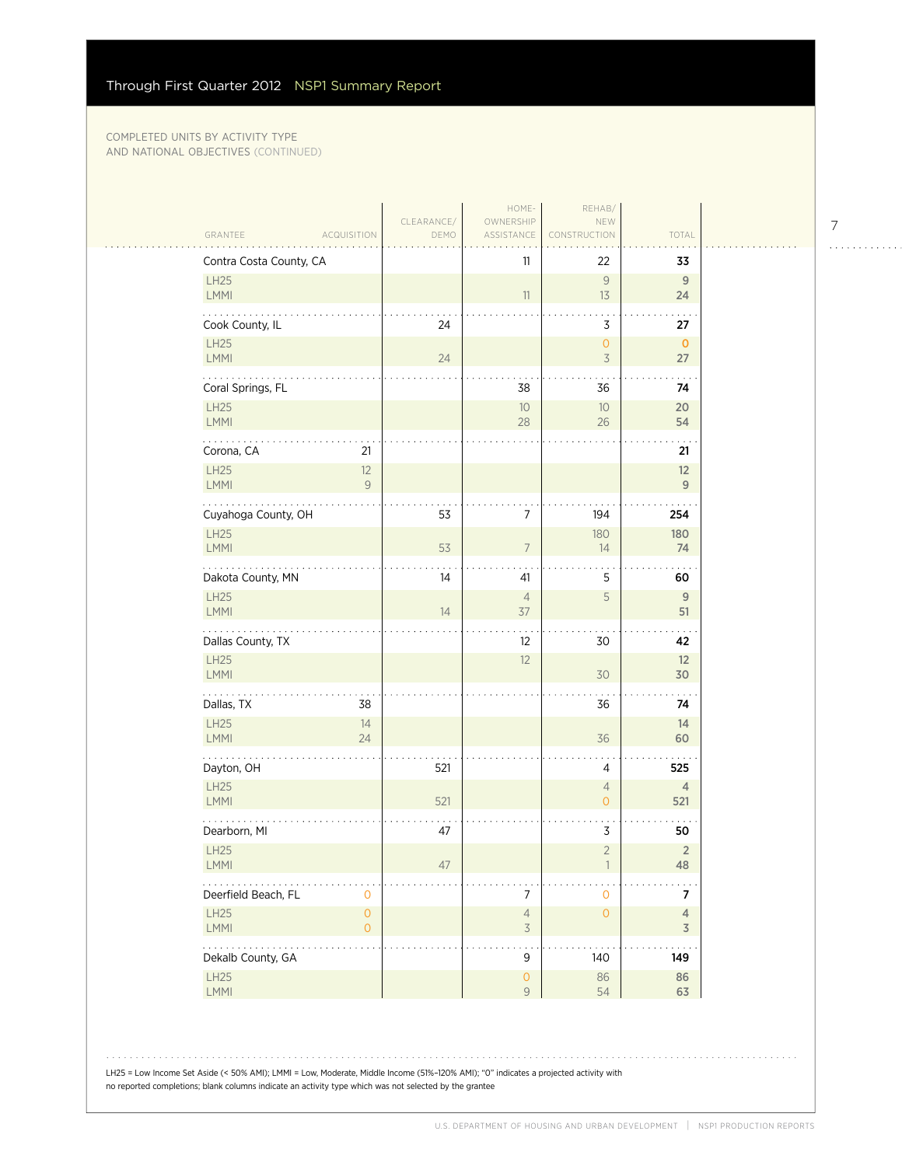|                                                                 |                                    |                    | HOME-                              | REHAB/                           |                                  |  |
|-----------------------------------------------------------------|------------------------------------|--------------------|------------------------------------|----------------------------------|----------------------------------|--|
| GRANTEE                                                         | <b>ACQUISITION</b>                 | CLEARANCE/<br>DEMO | OWNERSHIP<br>ASSISTANCE            | NEW<br><b>ISTRUCTION</b>         | TOTAL                            |  |
| Contra Costa County, CA                                         |                                    |                    | 11                                 | 22                               | 33                               |  |
| LH25                                                            |                                    |                    |                                    | 9                                | 9                                |  |
| LMMI                                                            |                                    |                    | 11                                 | 13                               | 24                               |  |
| Cook County, IL                                                 |                                    | 24                 |                                    | 3                                | . .<br>27                        |  |
| LH25<br>LMMI                                                    |                                    | 24                 |                                    | $\mathsf{O}\xspace$<br>$\preceq$ | $\mathbf 0$<br>27                |  |
|                                                                 |                                    |                    |                                    |                                  |                                  |  |
| Coral Springs, FL<br>LH25                                       |                                    |                    | 38                                 | 36                               | 74                               |  |
| LMMI                                                            |                                    |                    | 10<br>28                           | $10$<br>26                       | 20<br>54                         |  |
| Corona, CA                                                      | 21                                 |                    |                                    |                                  | 21                               |  |
| LH25                                                            | 12                                 |                    |                                    |                                  | 12                               |  |
| LMMI                                                            | 9                                  |                    |                                    |                                  | 9                                |  |
| Cuyahoga County, OH                                             |                                    | 53                 | $\overline{7}$                     | 194                              | 254                              |  |
| LH25                                                            |                                    |                    |                                    | 180                              | 180                              |  |
| LMMI                                                            |                                    | 53                 | $\overline{7}$                     | 14                               | 74                               |  |
| Dakota County, MN                                               |                                    | 14                 | 41                                 | 5                                | 60                               |  |
| LH25<br>LMMI                                                    |                                    | 14                 | $\overline{4}$<br>37               | 5                                | 9<br>51                          |  |
|                                                                 |                                    |                    |                                    |                                  |                                  |  |
| Dallas County, TX<br>LH25                                       |                                    |                    | 12<br>12                           | 30                               | 42<br>12                         |  |
| LMMI                                                            |                                    |                    |                                    | 30                               | 30                               |  |
| .<br>Dallas, TX                                                 | 38                                 |                    |                                    | 36                               | 74                               |  |
| LH25                                                            | 14                                 |                    |                                    |                                  | 14                               |  |
| LMMI                                                            | 24                                 |                    |                                    | 36                               | 60                               |  |
| Dayton, OH                                                      |                                    | 521                |                                    | $\overline{4}$                   | 525                              |  |
| LH25                                                            |                                    |                    |                                    | $\overline{4}$                   | $\overline{4}$                   |  |
| LMMI                                                            |                                    | 521                |                                    | $\mathsf{O}\xspace$              | 521                              |  |
| Dearborn, MI                                                    |                                    | 47                 |                                    | 3                                | 50                               |  |
| LH25<br>LMMI                                                    |                                    | 47                 |                                    | $\overline{2}$                   | $\sqrt{2}$<br>48                 |  |
|                                                                 |                                    |                    |                                    |                                  |                                  |  |
| Deerfield Beach, FL<br>LH25                                     | $\mathbf 0$<br>$\mathsf{O}\xspace$ |                    | $\boldsymbol{7}$<br>$\overline{4}$ | $\mathsf{O}$<br>$\mathsf{O}$     | $\overline{7}$<br>$\overline{4}$ |  |
| LMMI                                                            | $\circ$                            |                    | $\overline{\mathcal{S}}$           |                                  | $\overline{3}$                   |  |
| $\mathbb{Z}^2$ . The set of $\mathbb{Z}^2$<br>Dekalb County, GA |                                    |                    | $\mathsf 9$                        | 140                              | 149                              |  |
| LH25                                                            |                                    |                    | $\mathsf{O}\xspace$                | 86                               | 86                               |  |
| LMMI                                                            |                                    |                    | $\mathsf 9$                        | 54                               | 63                               |  |

LH25 = Low Income Set Aside (< 50% AMI); LMMI = Low, Moderate, Middle Income (51%–120% AMI); "0" indicates a projected activity with no reported completions; blank columns indicate an activity type which was not selected by the grantee

 $1.1.1.1.1.1.1.1.1.1$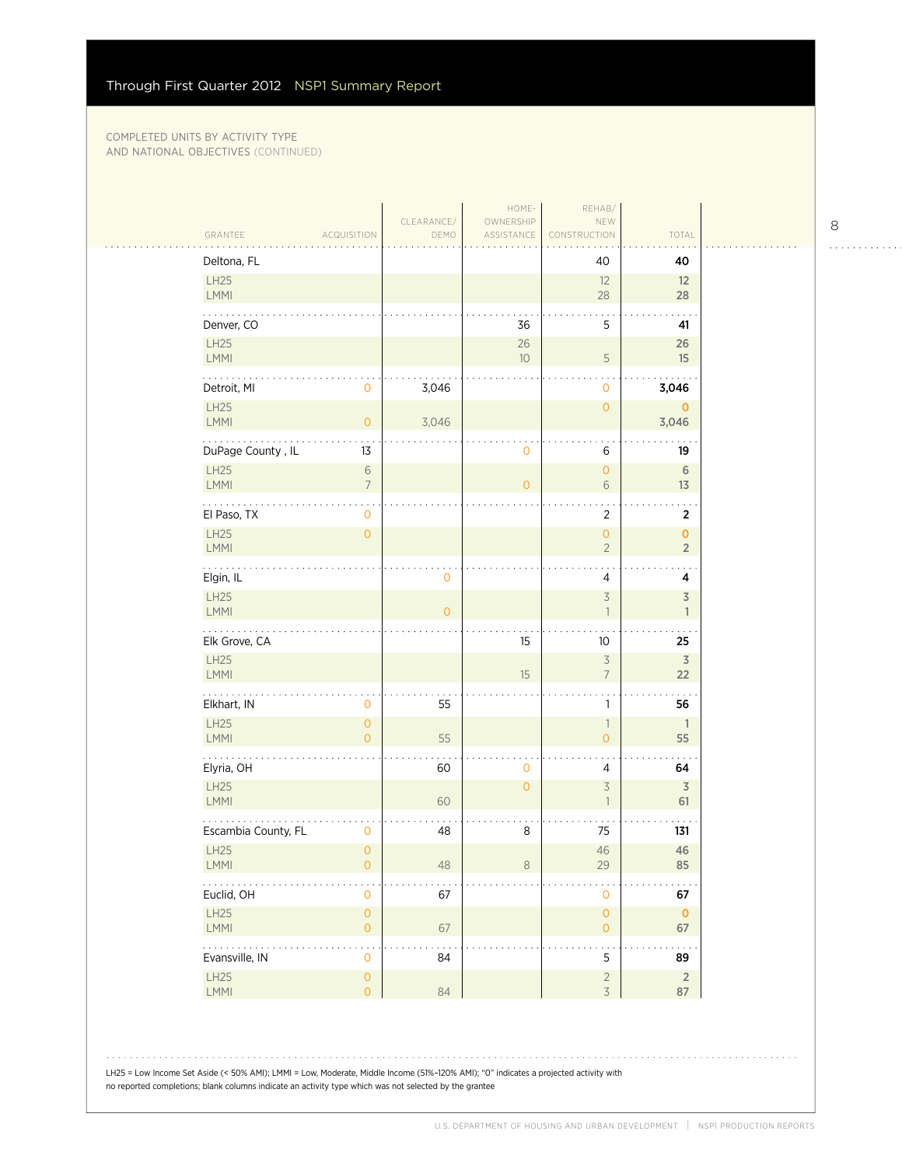$\sim$  .

|                                                             |                    | HOME-                   | REHAB/                                     |                                |
|-------------------------------------------------------------|--------------------|-------------------------|--------------------------------------------|--------------------------------|
| GRANTEE<br><b>ACQUISITION</b>                               | CLEARANCE/<br>DEMO | OWNERSHIP<br>ASSISTANCE | NEW<br>CONSTRUCTION                        | TOTAL                          |
| Deltona, FL                                                 |                    |                         | 40                                         | 40                             |
| LH25<br>LMMI                                                |                    |                         | 12<br>28                                   | 12<br>28                       |
| Denver, CO                                                  |                    | 36                      | 5                                          | 41                             |
| LH25<br>LMMI                                                |                    | $26\,$<br>10            | $\mathsf S$                                | 26<br>15                       |
| Detroit, MI<br>$\mathbf 0$                                  | 3,046              |                         | $\mathbf{O}$                               | 3,046                          |
| LH25<br>LMMI<br>$\circ$                                     | 3,046              |                         | $\circ$                                    | $\mathbf 0$<br>3,046           |
| DuPage County, IL<br>13                                     |                    | 0                       | 6                                          | 19                             |
| LH25<br>$\,$ $\,$ $\,$<br>LMMI<br>$\overline{7}$            |                    | $\overline{0}$          | $\circ$<br>6                               | 6<br>13                        |
| El Paso, TX<br>0                                            |                    |                         | 2                                          | $\overline{2}$                 |
| LH25<br>$\mathsf{O}\xspace$<br>LMMI                         |                    |                         | $\mathsf{O}\xspace$<br>$\overline{2}$      | $\pmb{0}$<br>$\overline{2}$    |
| .<br>Elgin, IL                                              | 0                  |                         | 4                                          | $\cdot$ .<br>4                 |
| LH25<br>LMMI                                                | $\overline{O}$     |                         | 3<br>$\overline{1}$                        | $\overline{3}$<br>$\mathbf{1}$ |
| Elk Grove, CA                                               |                    | 15                      | 10                                         | 25                             |
|                                                             |                    |                         |                                            |                                |
| LH25<br>LMMI                                                |                    | 15                      | $\overline{3}$<br>$\overline{7}$           | 3<br>22                        |
| .<br>Elkhart, IN<br>0                                       | 55                 |                         | 1                                          | 56                             |
| LH25<br>$\mathsf{O}\xspace$<br>LMMI<br>$\overline{O}$       | 55                 |                         | $\overline{\phantom{a}}$<br>$\overline{O}$ | $\mathbf{1}$<br>55             |
| Elyria, OH                                                  | 60                 | $\mathsf{O}\xspace$     | 4                                          | 64                             |
| LH25<br>LMMI                                                | 60                 | $\overline{0}$          | 3<br>1                                     | $\overline{3}$<br>61           |
| Escambia County, FL<br>0                                    | 48                 | $\,8\,$                 | 75                                         | 131                            |
| LH25<br>$\circ$<br>LMMI<br>$\mathsf{O}\xspace$              | 48                 | 8                       | 46<br>29                                   | 46<br>85                       |
| .<br>Euclid, OH<br>$\mathbf 0$                              | 67                 |                         | $\mathbf{O}$                               | 67                             |
| LH25<br>$\mathsf{O}\xspace$<br>LMMI<br>$\overline{O}$       | 67                 |                         | $\mathsf{O}\xspace$<br>$\overline{O}$      | $\mathbf 0$<br>67              |
| .<br>$\ddot{\phantom{0}}$<br>Evansville, IN<br>$\mathbf{O}$ | 84                 |                         | $\sim$ .<br>5                              | 89                             |

8

. . . . . . . . . . . .

LH25 = Low Income Set Aside (< 50% AMI); LMMI = Low, Moderate, Middle Income (51%–120% AMI); "0" indicates a projected activity with no reported completions; blank columns indicate an activity type which was not selected by the grantee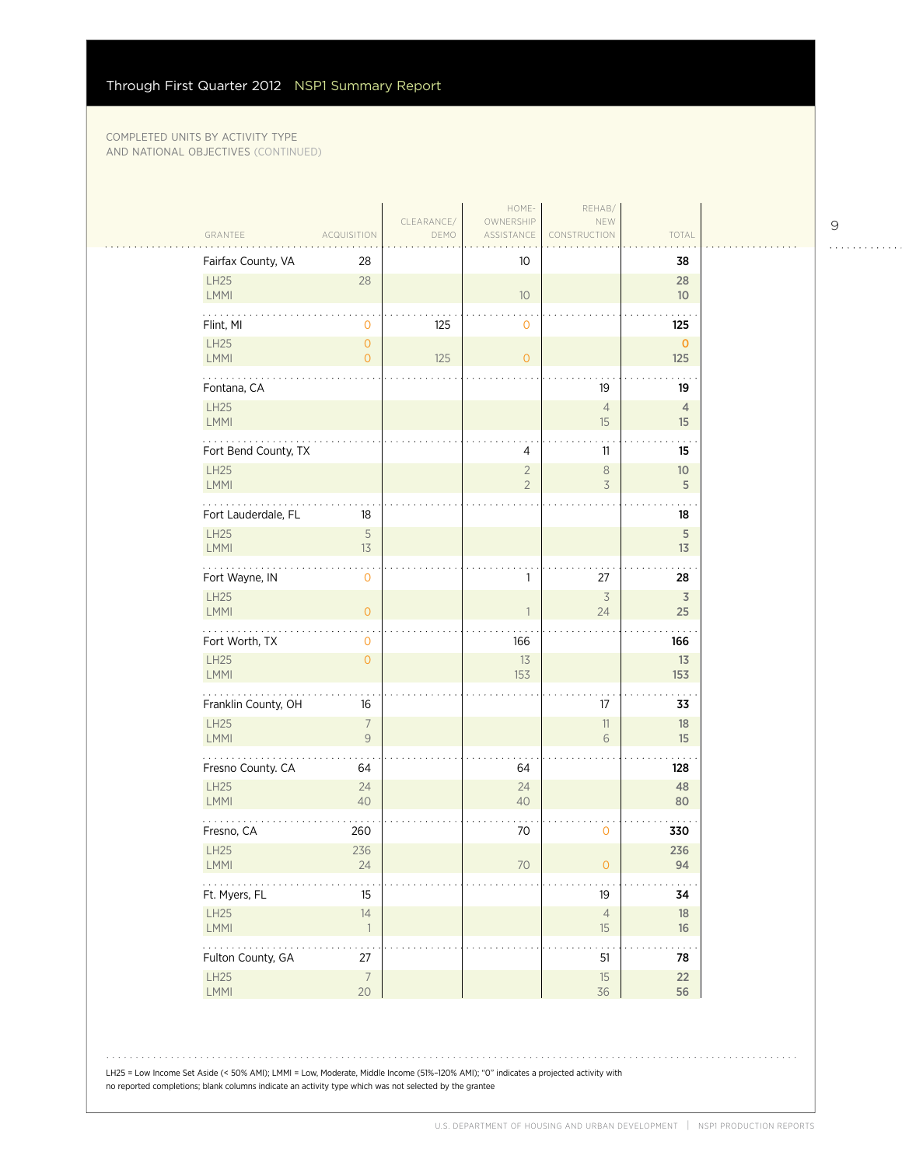$\mathcal{L}_{\mathcal{A}}$ 

|                          |                                  | CLEARANCE/ | HOME-<br>OWNERSHIP               | REHAB/<br>NEW                  |                       |
|--------------------------|----------------------------------|------------|----------------------------------|--------------------------------|-----------------------|
| GRANTEE                  | <b>ACQUISITION</b>               | DEMO       | ASSISTANCE                       | CONSTRUCTION                   | TOTAL                 |
| Fairfax County, VA       | 28                               |            | 10                               |                                | 38                    |
| LH25<br>LMMI             | 28                               |            | 10                               |                                | 28<br>10 <sup>°</sup> |
| Flint, MI                | 0                                | 125        | 0                                |                                | 125                   |
| LH25<br>LMMI             | $\overline{O}$<br>$\overline{O}$ | 125        | $\overline{O}$                   |                                | $\pmb{0}$<br>125      |
| .<br>Fontana, CA         |                                  |            |                                  | 19                             | 19                    |
| <b>LH25</b><br>LMMI      |                                  |            |                                  | $\overline{4}$<br>15           | 4<br>15               |
| Fort Bend County, TX     |                                  |            | 4                                | 11                             | 15                    |
| <b>LH25</b><br>LMMI      |                                  |            | $\overline{2}$<br>$\overline{2}$ | $\,8\,$<br>3                   | 10<br>$\mathsf S$     |
| Fort Lauderdale, FL      | 18                               |            |                                  |                                | 18                    |
| LH25<br>LMMI             | $\mathsf S$<br>13                |            |                                  |                                | $\sqrt{5}$<br>13      |
| .<br>Fort Wayne, IN      | 0                                |            | 1                                | 27                             | 28                    |
| LH25<br>LMMI             | $\overline{O}$                   |            | $\mathbf{1}$                     | $\overline{\mathcal{S}}$<br>24 | $\overline{3}$<br>25  |
| Fort Worth, TX           | 0                                |            | 166                              |                                | 166                   |
| LH25<br>LMMI             | $\overline{O}$                   |            | 13<br>153                        |                                | 13<br>153             |
| .<br>Franklin County, OH | 16                               |            |                                  | 17                             | 33                    |
| LH25<br>LMMI             | $\overline{7}$<br>9              |            |                                  | 11<br>6                        | 18<br>15              |
| Fresno County. CA        | 64                               |            | 64                               |                                | 128                   |
| <b>LH25</b><br>LMMI      | 24<br>40                         |            | 24<br>40                         |                                | 48<br>80              |
| Fresno, CA               | 260                              |            | 70                               | $\mathbf 0$                    | 330                   |
| LH25<br><b>LMMI</b>      | 236<br>24                        |            | 70                               | 0                              | 236<br>94             |
| .<br>Ft. Myers, FL       | 15                               |            |                                  | 19                             | 34                    |
| LH25<br>LMMI             | 14<br>$\overline{1}$             |            |                                  | $\sqrt{4}$<br>15               | 18<br>16              |
| .<br>Fulton County, GA   | 27                               |            |                                  | 51                             | . .<br>78             |
| LH25<br>LMMI             | $\overline{7}$<br>20             |            |                                  | 15<br>36                       | $22\,$<br>56          |

9

. . . . . . . . . . . .

LH25 = Low Income Set Aside (< 50% AMI); LMMI = Low, Moderate, Middle Income (51%–120% AMI); "0" indicates a projected activity with no reported completions; blank columns indicate an activity type which was not selected by the grantee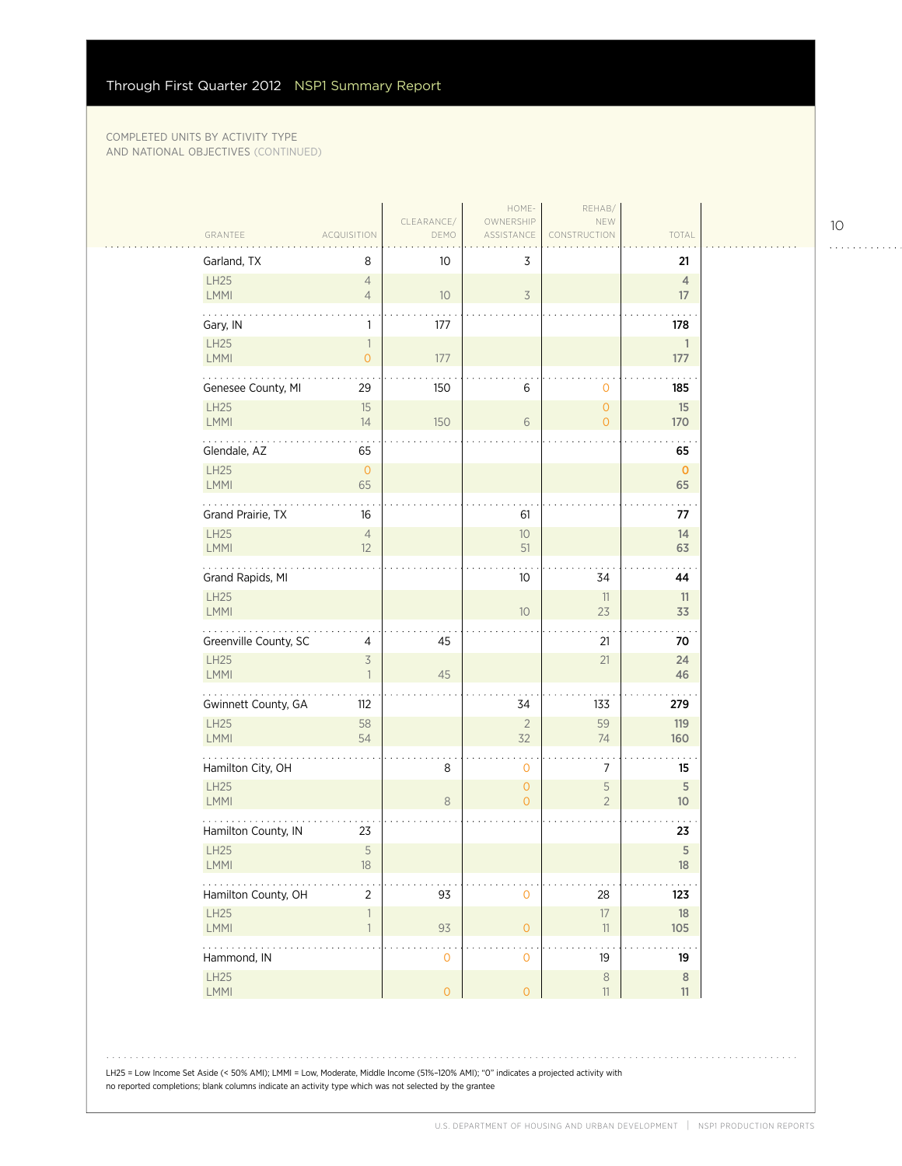| GRANTEE                    | <b>ACQUISITION</b>                         | CLEARANCE/<br>DEMO         | HOME-<br>OWNERSHIP<br>ASSISTANCE | REHAB/<br>NEW<br>CONSTRUCTION    | TOTAL                         |
|----------------------------|--------------------------------------------|----------------------------|----------------------------------|----------------------------------|-------------------------------|
| Garland, TX                | 8                                          | 10                         | 3                                |                                  | 21                            |
| LH25<br><b>LMMI</b>        | $\overline{4}$<br>$\overline{4}$           | 10 <sup>°</sup>            | $\overline{\mathcal{S}}$         |                                  | $\overline{4}$<br>17          |
| Gary, IN                   | $\mathbf{1}$                               | 177                        |                                  |                                  | 178                           |
| LH25<br>LMMI               | $\overline{1}$<br>$\overline{O}$           | 177                        |                                  |                                  | 1<br>177                      |
| .<br>Genesee County, MI    | 29                                         | 150                        | 6                                | $\mathbf 0$                      | 185                           |
| LH25<br>LMMI               | 15<br>14                                   | 150                        | $6\,$                            | $\overline{O}$<br>$\overline{O}$ | 15<br>170                     |
| Glendale, AZ               | 65                                         |                            |                                  |                                  | 65                            |
| <b>LH25</b><br><b>LMMI</b> | $\overline{0}$<br>65                       |                            |                                  |                                  | $\mathbf 0$<br>65             |
| Grand Prairie, TX          | 16                                         |                            | 61                               |                                  | 77                            |
| <b>LH25</b><br>LMMI        | $\overline{4}$<br>12                       |                            | $10$<br>51                       |                                  | 14<br>63                      |
| Grand Rapids, MI           |                                            |                            | 10                               | 34                               | 44                            |
| <b>LH25</b><br>LMMI        |                                            |                            | 10                               | 11<br>23                         | 11<br>33                      |
| Greenville County, SC      | 4                                          | 45                         |                                  | 21                               | 70                            |
| LH25<br>LMMI               | $\overline{\mathcal{S}}$<br>$\overline{1}$ | 45                         |                                  | 21                               | 24<br>46                      |
| .<br>Gwinnett County, GA   | 112                                        |                            | 34                               | 133                              | 279                           |
| LH25<br><b>LMMI</b>        | 58<br>54                                   |                            | $\sqrt{2}$<br>32                 | 59<br>74                         | 119<br>160                    |
| Hamilton City, OH          |                                            | 8                          | $\mathbf 0$                      | 7                                | 15                            |
| <b>LH25</b><br><b>LMMI</b> |                                            | $\,8\,$                    | $\overline{O}$<br>$\overline{0}$ | $\mathsf S$<br>$\overline{2}$    | $\sqrt{5}$<br>10 <sup>°</sup> |
| Hamilton County, IN        | 23                                         |                            |                                  |                                  | 23                            |
| LH25<br><b>LMMI</b>        | 5<br>18                                    |                            |                                  |                                  | $\mathsf S$<br>18             |
| Hamilton County, OH        | $\overline{2}$                             | 93                         | $\mathbf{O}$                     | 28                               | 123                           |
| LH25<br>LMMI               | $\overline{1}$<br>$\overline{1}$           | 93                         | $\overline{O}$                   | $17\,$<br>11                     | 18<br>105                     |
| .<br>Hammond, IN           |                                            | . .<br>$\mathsf{O}\xspace$ | $\mathbf{O}$                     | 19                               | 19                            |
| LH25<br>LMMI               |                                            | $\mathsf{O}\xspace$        | $\circ$                          | $\,8\,$<br>$11\,$                | $\,8\,$<br>11                 |

LH25 = Low Income Set Aside (< 50% AMI); LMMI = Low, Moderate, Middle Income (51%–120% AMI); "0" indicates a projected activity with no reported completions; blank columns indicate an activity type which was not selected by the grantee

10

. . . . . . . . . . . .

 $\mathbb{R}$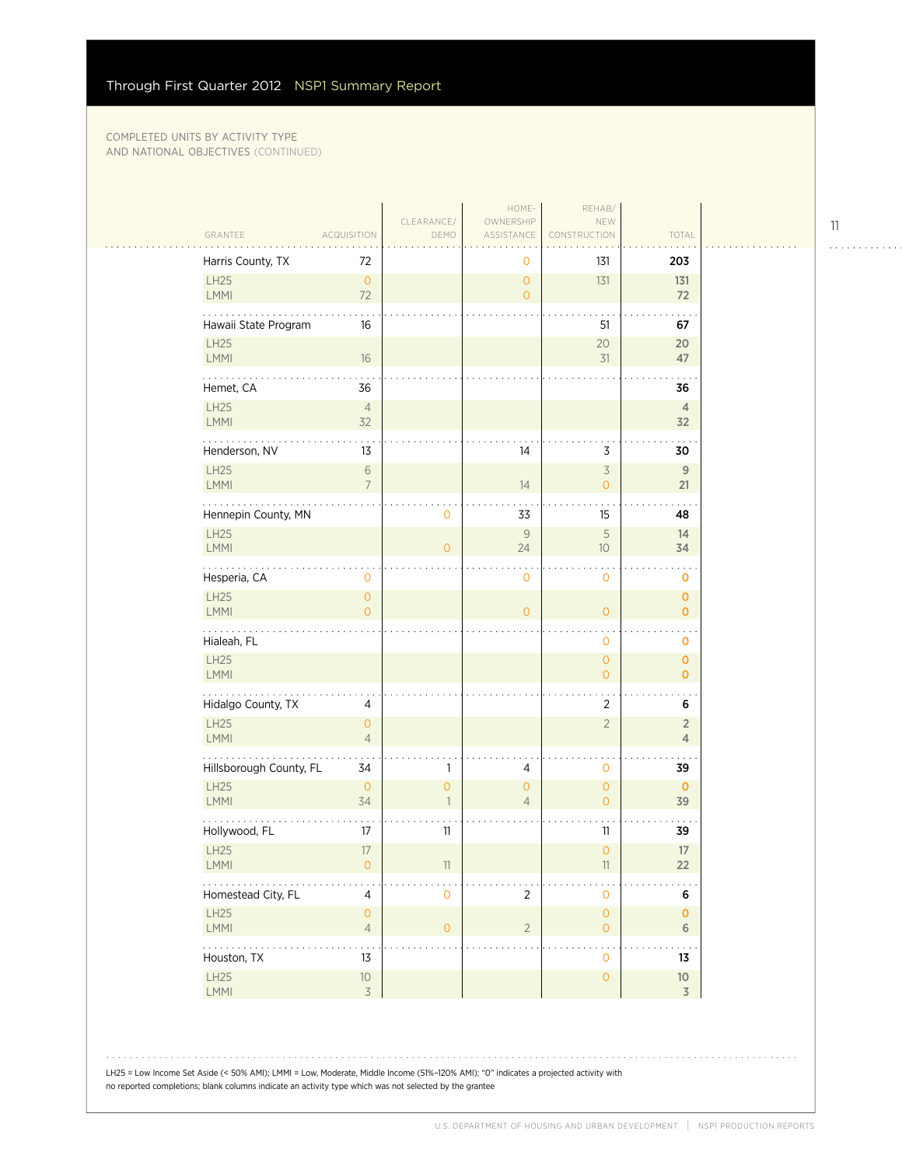| GRANTEE<br><b>ACQUISITION</b>                         | CLEARANCE/<br>DEMO             | OWNERSHIP<br>ASSISTANCE   | NEW<br><b>NSTRUCTION</b>                        | TOTAL                            |
|-------------------------------------------------------|--------------------------------|---------------------------|-------------------------------------------------|----------------------------------|
| Harris County, TX<br>72                               |                                | $\mathbf 0$               | 131                                             | 203                              |
| LH25<br>$\mathsf O$<br>$72\,$<br>LMMI                 |                                | $\overline{0}$<br>$\circ$ | 131                                             | 131<br>72                        |
| Hawaii State Program<br>16                            |                                |                           | 51                                              | 67                               |
| LH25<br>LMMI<br>16                                    |                                |                           | 20<br>31                                        | 20<br>47                         |
| Hemet, CA<br>36                                       |                                |                           |                                                 | 36                               |
| LH25<br>$\overline{4}$<br>32<br>LMMI                  |                                |                           |                                                 | $\overline{4}$<br>32             |
| Henderson, NV<br>13                                   |                                | 14                        | $\mathsf 3$                                     | 30                               |
| LH25<br>$\sqrt{6}$<br>LMMI<br>$\overline{7}$          |                                | 14                        | $\overline{\mathcal{S}}$<br>$\mathsf{O}\xspace$ | $\,9$<br>21                      |
| Hennepin County, MN                                   | 0                              | 33                        | 15                                              | 48                               |
| LH25<br><b>LMMI</b>                                   | $\overline{0}$                 | $\mathsf{9}$<br>24        | $\mathsf S$<br>10                               | 14<br>34                         |
| Hesperia, CA<br>$\mathbf 0$                           |                                | $\mathbf 0$               | 0                                               | $\mathbf 0$                      |
| LH25<br>$\mathsf O$<br><b>LMMI</b><br>$\overline{O}$  |                                | $\overline{0}$            | $\overline{O}$                                  | $\mathbf 0$<br>$\mathbf{O}$      |
| Hialeah, FL                                           |                                |                           | $\mathsf{O}$                                    | 0                                |
| LH25<br>LMMI                                          |                                |                           | $\overline{O}$<br>$\mathsf{O}\xspace$           | $\mathbf 0$<br>$\mathbf 0$       |
| Hidalgo County, TX<br>$\overline{4}$                  |                                |                           | $\overline{2}$                                  | 6                                |
| LH25<br>$\mathsf{O}\xspace$<br>LMMI<br>$\overline{4}$ |                                |                           | $\overline{2}$                                  | $\overline{2}$<br>$\overline{4}$ |
| Hillsborough County, FL<br>34                         | 1                              | 4                         | $\mathbf 0$                                     | 39                               |
| <b>LH25</b><br>$\mathbf 0$<br>LMMI<br>34              | $\overline{0}$<br>$\mathbf{1}$ | $\circ$<br>$\overline{4}$ | $\overline{0}$<br>$\overline{O}$                | $\mathbf 0$<br>39                |
| Hollywood, FL<br>$17\,$                               | 11                             |                           | 11                                              | 39                               |
| LH25<br>17<br>LMMI<br>$\mathsf{O}\xspace$             | 11                             |                           | $\overline{0}$<br>11                            | 17<br>22                         |
| Homestead City, FL<br>$\overline{4}$                  | 0                              | $\overline{2}$            | 0                                               | $\bf 6$                          |
| LH25<br>$\mathsf{O}\xspace$<br>LMMI<br>$\overline{4}$ | $\overline{O}$                 | $\overline{2}$            | $\mathsf{O}\xspace$<br>$\mathsf{O}\xspace$      | $\mathbf 0$<br>6                 |
| .<br>Houston, TX<br>13                                |                                |                           | $\bullet$<br>0                                  | 13                               |
| LH25<br>$10$<br>LMMI<br>$\overline{3}$                |                                |                           | $\mathsf{O}\xspace$                             | $10\,$<br>$\overline{3}$         |

LH25 = Low Income Set Aside (< 50% AMI); LMMI = Low, Moderate, Middle Income (51%–120% AMI); "0" indicates a projected activity with no reported completions; blank columns indicate an activity type which was not selected by the grantee

11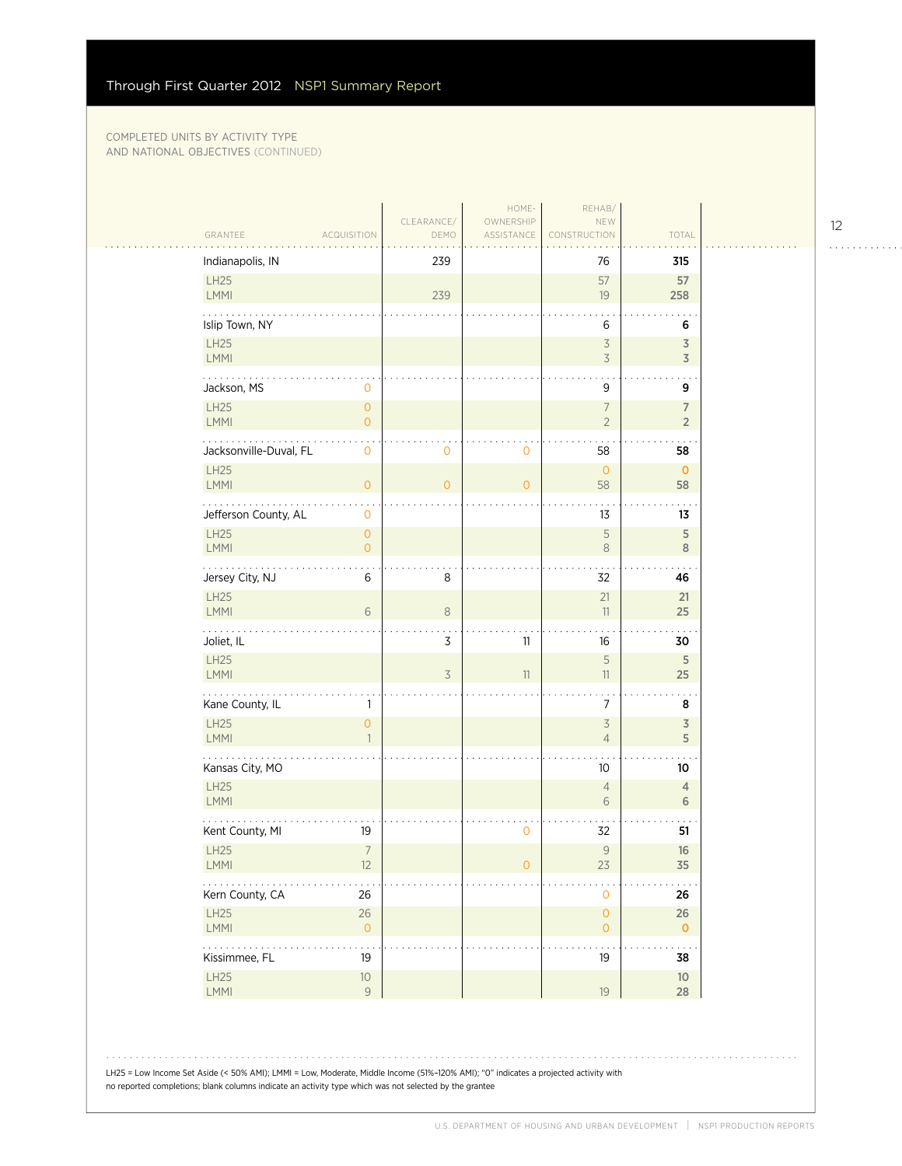| CLEARANCE/<br>OWNERSHIP<br>NEW<br>TOTAL<br>GRANTEE<br>DEMO<br>ASSISTANCE<br><b>ACQUISITION</b><br>CONSTRUCTION<br>Indianapolis, IN<br>239<br>76<br>315<br>LH25<br>57<br>57<br>LMMI<br>239<br>19<br>258<br>Islip Town, NY<br>6<br>6<br>LH25<br>$\overline{\mathcal{S}}$<br>3<br>3<br>$\overline{3}$<br>LMMI<br>$9\,$<br>Jackson, MS<br>0<br>9<br>LH25<br>$\mathsf{O}\xspace$<br>$\overline{7}$<br>$\overline{7}$<br>LMMI<br>$\overline{0}$<br>$\overline{2}$<br>$\overline{2}$<br>Jacksonville-Duval, FL<br>$\mathsf{O}\xspace$<br>58<br>0<br>0<br>58<br>LH25<br>$\overline{0}$<br>$\mathbf 0$<br><b>LMMI</b><br>$\mathsf{O}\xspace$<br>$\overline{0}$<br>$\mathbf{O}$<br>58<br>58<br>Jefferson County, AL<br>13<br>0<br>13<br>LH25<br>$\mathsf S$<br>5<br>$\mathsf{O}\xspace$<br>LMMI<br>$\overline{0}$<br>$\,8\,$<br>8<br>.<br>Jersey City, NJ<br>6<br>8<br>32<br>46<br>21<br>LH25<br>21<br>6<br>$\,8\,$<br>LMMI<br>11<br>25<br>3<br>16<br>Joliet, IL<br>11<br>30<br>$\mathsf S$<br>LH25<br>5<br>LMMI<br>3<br>11<br>25<br>11<br>. |
|------------------------------------------------------------------------------------------------------------------------------------------------------------------------------------------------------------------------------------------------------------------------------------------------------------------------------------------------------------------------------------------------------------------------------------------------------------------------------------------------------------------------------------------------------------------------------------------------------------------------------------------------------------------------------------------------------------------------------------------------------------------------------------------------------------------------------------------------------------------------------------------------------------------------------------------------------------------------------------------------------------------------------------|
|                                                                                                                                                                                                                                                                                                                                                                                                                                                                                                                                                                                                                                                                                                                                                                                                                                                                                                                                                                                                                                    |
|                                                                                                                                                                                                                                                                                                                                                                                                                                                                                                                                                                                                                                                                                                                                                                                                                                                                                                                                                                                                                                    |
|                                                                                                                                                                                                                                                                                                                                                                                                                                                                                                                                                                                                                                                                                                                                                                                                                                                                                                                                                                                                                                    |
|                                                                                                                                                                                                                                                                                                                                                                                                                                                                                                                                                                                                                                                                                                                                                                                                                                                                                                                                                                                                                                    |
|                                                                                                                                                                                                                                                                                                                                                                                                                                                                                                                                                                                                                                                                                                                                                                                                                                                                                                                                                                                                                                    |
|                                                                                                                                                                                                                                                                                                                                                                                                                                                                                                                                                                                                                                                                                                                                                                                                                                                                                                                                                                                                                                    |
|                                                                                                                                                                                                                                                                                                                                                                                                                                                                                                                                                                                                                                                                                                                                                                                                                                                                                                                                                                                                                                    |
|                                                                                                                                                                                                                                                                                                                                                                                                                                                                                                                                                                                                                                                                                                                                                                                                                                                                                                                                                                                                                                    |
|                                                                                                                                                                                                                                                                                                                                                                                                                                                                                                                                                                                                                                                                                                                                                                                                                                                                                                                                                                                                                                    |
|                                                                                                                                                                                                                                                                                                                                                                                                                                                                                                                                                                                                                                                                                                                                                                                                                                                                                                                                                                                                                                    |
|                                                                                                                                                                                                                                                                                                                                                                                                                                                                                                                                                                                                                                                                                                                                                                                                                                                                                                                                                                                                                                    |
|                                                                                                                                                                                                                                                                                                                                                                                                                                                                                                                                                                                                                                                                                                                                                                                                                                                                                                                                                                                                                                    |
|                                                                                                                                                                                                                                                                                                                                                                                                                                                                                                                                                                                                                                                                                                                                                                                                                                                                                                                                                                                                                                    |
|                                                                                                                                                                                                                                                                                                                                                                                                                                                                                                                                                                                                                                                                                                                                                                                                                                                                                                                                                                                                                                    |
|                                                                                                                                                                                                                                                                                                                                                                                                                                                                                                                                                                                                                                                                                                                                                                                                                                                                                                                                                                                                                                    |
| Kane County, IL<br>7<br>8<br>1                                                                                                                                                                                                                                                                                                                                                                                                                                                                                                                                                                                                                                                                                                                                                                                                                                                                                                                                                                                                     |
| <b>LH25</b><br>$\overline{\mathcal{S}}$<br>0<br>3<br>LMMI<br>$\overline{4}$<br>5                                                                                                                                                                                                                                                                                                                                                                                                                                                                                                                                                                                                                                                                                                                                                                                                                                                                                                                                                   |
| Kansas City, MO<br>10<br>10                                                                                                                                                                                                                                                                                                                                                                                                                                                                                                                                                                                                                                                                                                                                                                                                                                                                                                                                                                                                        |
| <b>LH25</b><br>$\overline{4}$<br>$\overline{4}$<br>LMMI<br>6<br>6                                                                                                                                                                                                                                                                                                                                                                                                                                                                                                                                                                                                                                                                                                                                                                                                                                                                                                                                                                  |
| Kent County, MI<br>19<br>0<br>32<br>51                                                                                                                                                                                                                                                                                                                                                                                                                                                                                                                                                                                                                                                                                                                                                                                                                                                                                                                                                                                             |
| $\overline{7}$<br>LH25<br>$\mathcal{G}$<br>16<br>LMMI<br>12<br>$\mathsf{O}\xspace$<br>23<br>35                                                                                                                                                                                                                                                                                                                                                                                                                                                                                                                                                                                                                                                                                                                                                                                                                                                                                                                                     |
| .<br>Kern County, CA<br>26<br>$\mathbf{O}$<br>26                                                                                                                                                                                                                                                                                                                                                                                                                                                                                                                                                                                                                                                                                                                                                                                                                                                                                                                                                                                   |
| LH25<br>$26\,$<br>$\mathsf{O}\xspace$<br>26<br>LMMI<br>$\mathsf O$<br>$\overline{0}$<br>$\mathbf{O}$                                                                                                                                                                                                                                                                                                                                                                                                                                                                                                                                                                                                                                                                                                                                                                                                                                                                                                                               |
| .<br>.<br>$\sim$ $\sim$<br>Kissimmee, FL<br>19<br>19<br>38                                                                                                                                                                                                                                                                                                                                                                                                                                                                                                                                                                                                                                                                                                                                                                                                                                                                                                                                                                         |
| LH25<br>$10$<br>$10$<br>LMMI<br>$\mathsf g$<br>19<br>28                                                                                                                                                                                                                                                                                                                                                                                                                                                                                                                                                                                                                                                                                                                                                                                                                                                                                                                                                                            |

LH25 = Low Income Set Aside (< 50% AMI); LMMI = Low, Moderate, Middle Income (51%–120% AMI); "0" indicates a projected activity with no reported completions; blank columns indicate an activity type which was not selected by the grantee

. . . . . . . . . . . .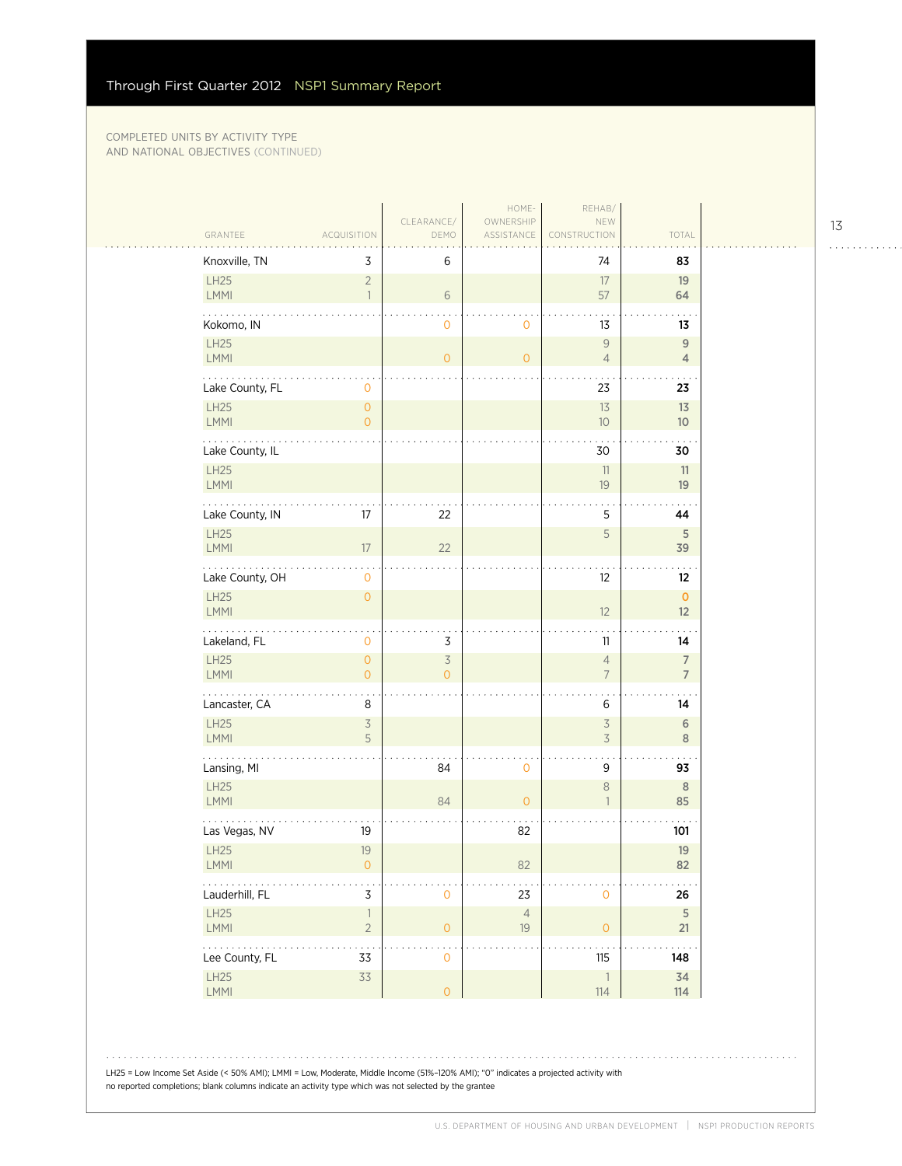|                                                                      |                                            | CLEARANCE/                                 | HOME-<br>OWNERSHIP | REHAB/<br>NEW                                        |                                    |
|----------------------------------------------------------------------|--------------------------------------------|--------------------------------------------|--------------------|------------------------------------------------------|------------------------------------|
| GRANTEE                                                              | <b>ACQUISITION</b>                         | DEMO                                       | ASSISTANCE         | CONSTRUCTION                                         | TOTAL                              |
| Knoxville, TN                                                        | 3                                          | 6                                          |                    | 74                                                   | 83                                 |
| LH25<br>LMMI                                                         | $\overline{c}$<br>$\overline{1}$           | 6                                          |                    | 17<br>57                                             | 19<br>64                           |
| Kokomo, IN                                                           |                                            | 0                                          | $\mathbf 0$        | 13                                                   | 13                                 |
| LH25<br>LMMI                                                         |                                            | $\overline{O}$                             | $\circ$            | 9<br>$\overline{4}$                                  | $9$<br>$\overline{4}$              |
| .<br>Lake County, FL                                                 | $\mathbf 0$                                |                                            |                    | 23                                                   | 23                                 |
| LH25<br>LMMI                                                         | $\mathsf{O}\xspace$<br>$\mathbf{O}$        |                                            |                    | 13<br>$10\,$                                         | 13<br>10 <sup>°</sup>              |
| Lake County, IL                                                      |                                            |                                            |                    | 30                                                   | 30                                 |
| <b>LH25</b><br>LMMI                                                  |                                            |                                            |                    | 11<br>19                                             | 11<br>19                           |
| Lake County, IN                                                      | 17                                         | 22                                         |                    | 5                                                    | 44                                 |
| LH25<br>LMMI                                                         | $17\,$                                     | 22                                         |                    | 5                                                    | $\sqrt{5}$<br>39                   |
| .<br>Lake County, OH                                                 | $\cdot$<br>$\mathbf 0$                     |                                            |                    | 12                                                   | $\sim$<br>$12 \,$                  |
| LH25<br><b>LMMI</b>                                                  | $\mathsf{O}$                               |                                            |                    | 12                                                   | $\mathbf 0$<br>12                  |
| Lakeland, FL                                                         | $\mathbf 0$                                | 3                                          |                    | 11                                                   | 14                                 |
| LH25<br>LMMI                                                         | $\mathsf{O}\xspace$<br>$\mathsf{O}\xspace$ | $\overline{\mathcal{S}}$<br>$\overline{O}$ |                    | $\overline{4}$<br>$\overline{7}$                     | $\boldsymbol{7}$<br>$\overline{7}$ |
| .<br>Lancaster, CA                                                   | 8                                          |                                            |                    | 6                                                    | 14                                 |
| LH25<br>LMMI                                                         | $\overline{\mathcal{S}}$<br>5              |                                            |                    | $\overline{\mathcal{S}}$<br>$\overline{\mathcal{S}}$ | 6<br>$\,8\,$                       |
| .<br>Lansing, MI                                                     |                                            | 84                                         | $\mathbf 0$        | 9                                                    | $\mathbf{r}$<br>93                 |
| LH25<br>LMMI                                                         |                                            | 84                                         | $\overline{0}$     | $\,8\,$<br>$\mathbf{1}$                              | 8<br>85                            |
| Las Vegas, NV                                                        | 19                                         |                                            | 82                 |                                                      | 101                                |
| LH25<br>LMMI                                                         | 19<br>$\circ$                              |                                            | 82                 |                                                      | 19<br>82                           |
| Lauderhill, FL                                                       | $\mathsf 3$                                | $\mathsf{O}\xspace$                        | 23                 | $\mathsf{O}\xspace$                                  | 26                                 |
| LH25<br>LMMI                                                         | $\ensuremath{\mathbb{I}}$<br>$\sqrt{2}$    | $\overline{O}$                             | $\sqrt{4}$<br>19   | $\mathsf O$                                          | $\sqrt{5}$<br>21                   |
| $\mathbb{Z}^2$ , $\mathbb{Z}^2$ , $\mathbb{Z}^2$ ,<br>Lee County, FL | .<br>33                                    | $\mathbf 0$                                |                    | 115                                                  | . .<br>148                         |
| LH25<br>LMMI                                                         | 33                                         | $\circ$                                    |                    | $\overline{\phantom{a}}$<br>114                      | 34<br>114                          |

LH25 = Low Income Set Aside (< 50% AMI); LMMI = Low, Moderate, Middle Income (51%–120% AMI); "0" indicates a projected activity with no reported completions; blank columns indicate an activity type which was not selected by the grantee

13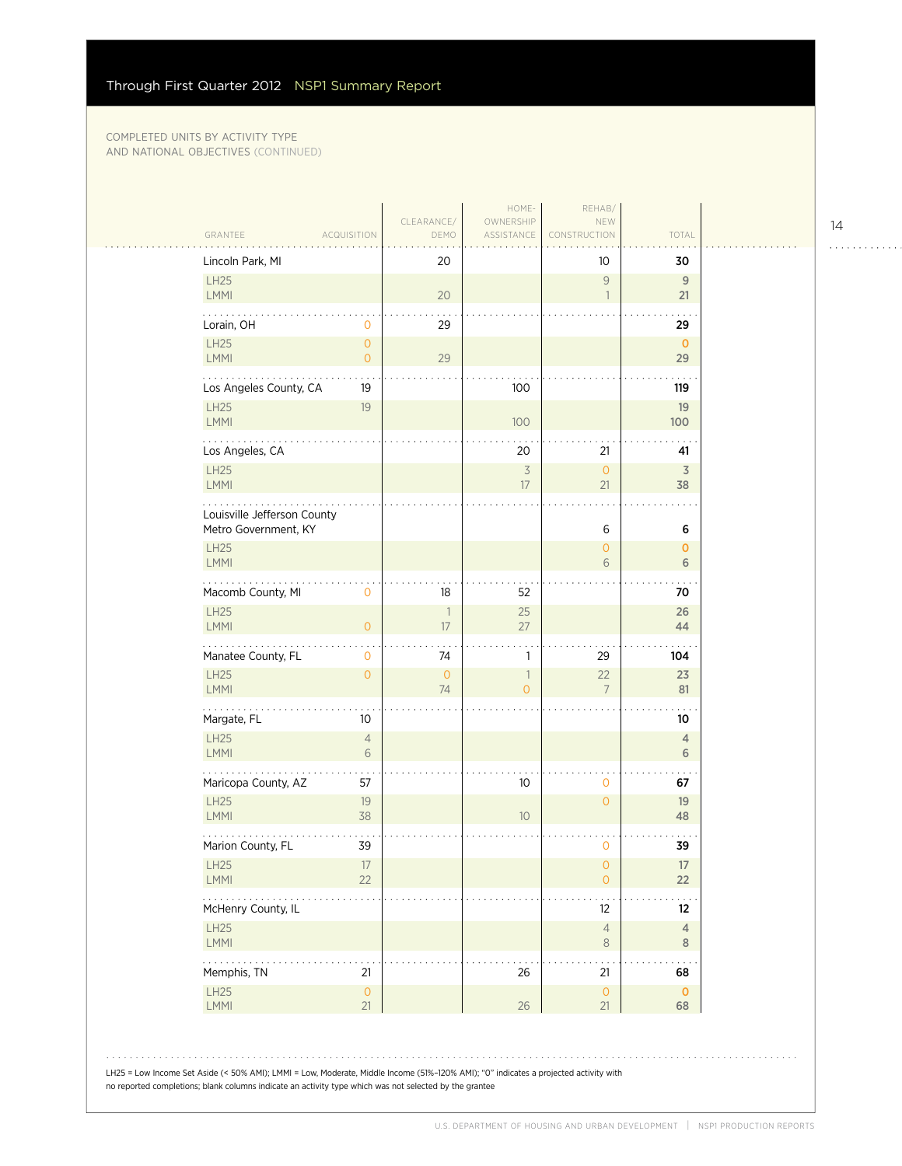| Lincoln Park, MI            |                                       | 20                             |                                            | 10                               | 30                  |
|-----------------------------|---------------------------------------|--------------------------------|--------------------------------------------|----------------------------------|---------------------|
| LH25<br>LMMI                |                                       | 20                             |                                            | $\overline{9}$<br>$\overline{1}$ | 9<br>21             |
| Lorain, OH                  | $\mathbf 0$                           | 29                             |                                            |                                  | 29                  |
| LH25<br>LMMI                | $\mathsf{O}\xspace$<br>$\overline{O}$ | 29                             |                                            |                                  | $\mathbf 0$<br>29   |
| Los Angeles County, CA      | 19                                    |                                | 100                                        |                                  | 119                 |
| <b>LH25</b><br>LMMI         | 19                                    |                                | 100                                        |                                  | 19<br>100           |
| Los Angeles, CA             |                                       |                                | 20                                         | 21                               | 41                  |
| <b>LH25</b><br>LMMI         |                                       |                                | $\overline{3}$<br>17                       | $\circ$                          | $\overline{3}$      |
| Louisville Jefferson County |                                       |                                |                                            | 21                               | 38                  |
| Metro Government, KY        |                                       |                                |                                            | 6                                | 6                   |
| <b>LH25</b><br>LMMI         |                                       |                                |                                            | $\circ$<br>6                     | $\mathbf{0}$<br>6   |
| Macomb County, MI           | $\mathbf 0$                           | 18                             | 52                                         |                                  | 70                  |
| <b>LH25</b><br><b>LMMI</b>  | $\overline{O}$                        | $\overline{\phantom{a}}$<br>17 | 25<br>27                                   |                                  | 26<br>44            |
| Manatee County, FL          | 0                                     | 74                             | 1                                          | 29                               | 104                 |
| <b>LH25</b><br>LMMI         | $\mathsf{O}\xspace$                   | $\circ$<br>74                  | $\overline{\phantom{a}}$<br>$\overline{O}$ | 22<br>$\overline{7}$             | 23<br>81            |
| .<br>Margate, FL            | 10                                    |                                |                                            |                                  | 10                  |
| LH25<br><b>LMMI</b>         | $\overline{4}$<br>6                   |                                |                                            |                                  | 4<br>6              |
| Maricopa County, AZ         | 57                                    |                                | 10                                         | $\mathbf 0$                      | 67                  |
| <b>LH25</b><br>LMMI         | 19<br>38                              |                                | 10                                         | $\overline{O}$                   | 19<br>48            |
| Marion County, FL           | 39                                    |                                |                                            | 0                                | 39                  |
| LH25<br>LMMI                | 17<br>22                              |                                |                                            | $\mathsf{O}\xspace$<br>$\circ$   | 17<br>22            |
| McHenry County, IL          |                                       |                                |                                            | 12                               | 12                  |
| <b>LH25</b><br>LMMI         |                                       |                                |                                            | $\sqrt{4}$<br>$\,8\,$            | $\overline{4}$<br>8 |
| $\cdots$<br>Memphis, TN     | 21                                    |                                | 26                                         | 21                               | 68                  |
| LH25<br>LMMI                | $\mathsf{O}\xspace$<br>21             |                                | 26                                         | $\circ$<br>21                    | $\mathbf 0$<br>68   |

14

 $1.1.1.1.1.1.1.1.1.1$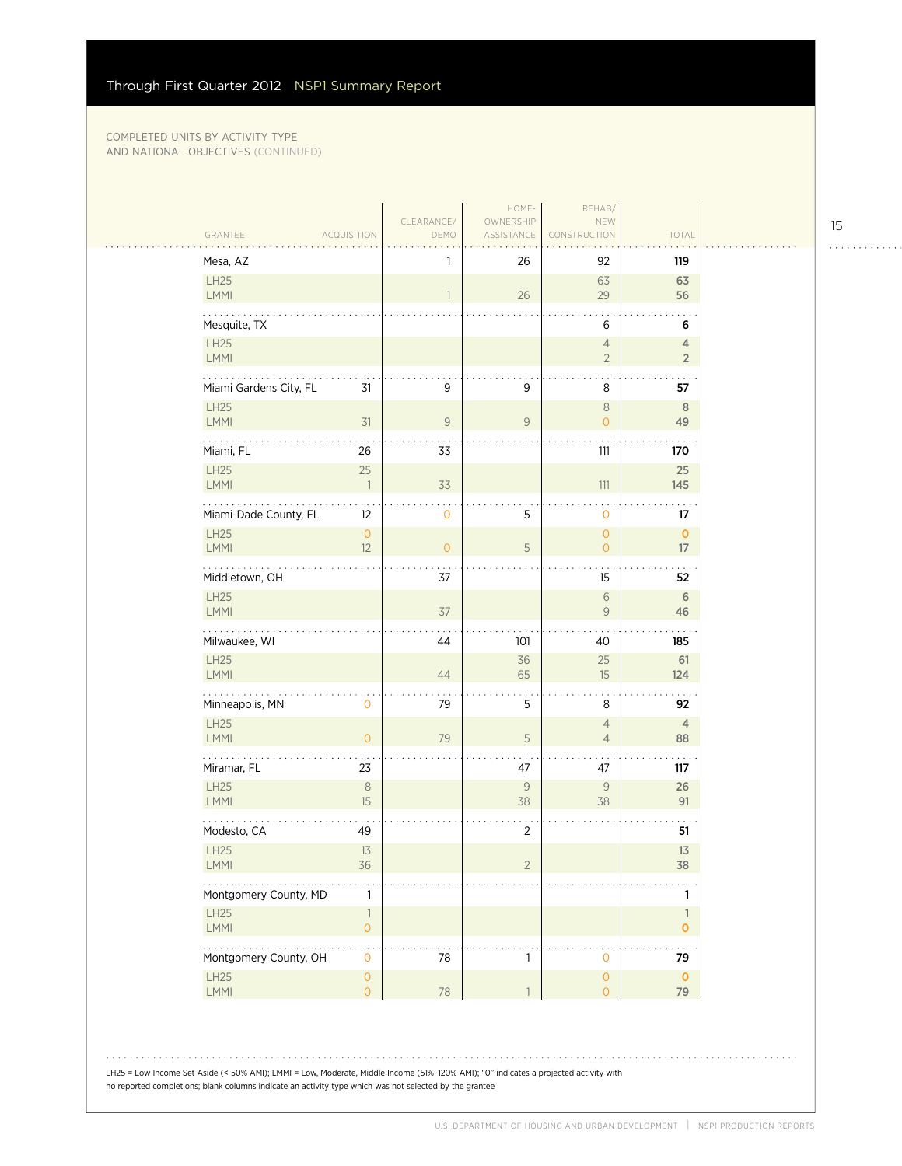$\sim$  .

| Mesa, AZ                                                                                                                                                                                                                              |                | 26                 | 92                                    | 119                              |
|---------------------------------------------------------------------------------------------------------------------------------------------------------------------------------------------------------------------------------------|----------------|--------------------|---------------------------------------|----------------------------------|
| LH25<br><b>LMMI</b>                                                                                                                                                                                                                   | $\mathbf{1}$   | 26                 | 63<br>29                              | 63<br>56                         |
| Mesquite, TX                                                                                                                                                                                                                          |                |                    | 6                                     | 6                                |
| LH25<br>LMMI                                                                                                                                                                                                                          |                |                    | $\overline{4}$<br>$\overline{2}$      | $\overline{4}$<br>$\overline{2}$ |
| Miami Gardens City, FL<br>31                                                                                                                                                                                                          | 9              | $\mathsf 9$        | 8                                     | 57                               |
| LH25<br>LMMI<br>31                                                                                                                                                                                                                    | $\mathsf{9}$   | $\mathsf{9}$       | $\,8\,$<br>$\overline{0}$             | 8<br>49                          |
| Miami, FL<br>26                                                                                                                                                                                                                       | 33             |                    | 111                                   | 170                              |
| LH25<br>25<br>LMMI<br>$\overline{\phantom{a}}$                                                                                                                                                                                        | 33             |                    | $111$                                 | 25<br>145                        |
| Miami-Dade County, FL<br>12                                                                                                                                                                                                           | 0              | 5                  | 0                                     | 17                               |
| LH25<br>$\circ$<br>LMMI<br>12                                                                                                                                                                                                         | $\overline{O}$ | 5                  | $\mathsf{O}\xspace$<br>$\overline{O}$ | $\mathbf 0$<br>17                |
| .<br>Middletown, OH                                                                                                                                                                                                                   | 37             |                    | 15                                    | 52                               |
| LH25<br>LMMI                                                                                                                                                                                                                          | 37             |                    | $\sqrt{6}$<br>$\overline{9}$          | $\,$ 6 $\,$<br>46                |
| Milwaukee, WI                                                                                                                                                                                                                         | 44             | 101                | 40                                    | 185                              |
| LH25<br>LMMI                                                                                                                                                                                                                          | 44             | 36<br>65           | 25<br>15                              | 61<br>124                        |
| .<br>Minneapolis, MN<br>$\mathbf{0}$                                                                                                                                                                                                  | 79             | 5                  | 8                                     | 92                               |
| LH25<br>LMMI<br>$\overline{0}$                                                                                                                                                                                                        | 79             | $\sqrt{5}$         | $\overline{4}$<br>$\overline{4}$      | $\overline{4}$<br>88             |
| Miramar, FL<br>23                                                                                                                                                                                                                     |                | 47                 | 47                                    | 117                              |
| <b>LH25</b><br>$\, 8$<br>LMMI<br>15                                                                                                                                                                                                   |                | $\mathcal G$<br>38 | $\mathcal G$<br>38                    | 26<br>91                         |
| Modesto, CA<br>49                                                                                                                                                                                                                     |                | $\sqrt{2}$         |                                       | 51                               |
| LH25<br>$13$<br><b>LMMI</b><br>36                                                                                                                                                                                                     |                | $\overline{2}$     |                                       | 13<br>38                         |
| Montgomery County, MD<br>$\mathbf{1}$                                                                                                                                                                                                 |                |                    |                                       | 1                                |
| LH25<br>$\overline{\phantom{a}}$<br>LMMI<br>$\overline{0}$                                                                                                                                                                            |                |                    |                                       | $\mathbf{1}$<br>$\pmb{0}$        |
| $\frac{1}{2} \left( \frac{1}{2} \left( \frac{1}{2} \left( \frac{1}{2} \left( \frac{1}{2} \right) \right) + \frac{1}{2} \left( \frac{1}{2} \left( \frac{1}{2} \right) \right) \right) \right)$<br>Montgomery County, OH<br>$\mathbf 0$ | 78             | $\mathbf{1}$       | $\mathbf 0$                           | 79                               |
| LH25<br>$\mathsf{O}\xspace$<br>LMMI<br>$\mathsf{O}\xspace$                                                                                                                                                                            | 78             | $\mathbf{1}$       | $\mathsf{O}\xspace$<br>$\overline{O}$ | $\mathbf 0$<br>79                |

LH25 = Low Income Set Aside (< 50% AMI); LMMI = Low, Moderate, Middle Income (51%–120% AMI); "0" indicates a projected activity with no reported completions; blank columns indicate an activity type which was not selected by the grantee

15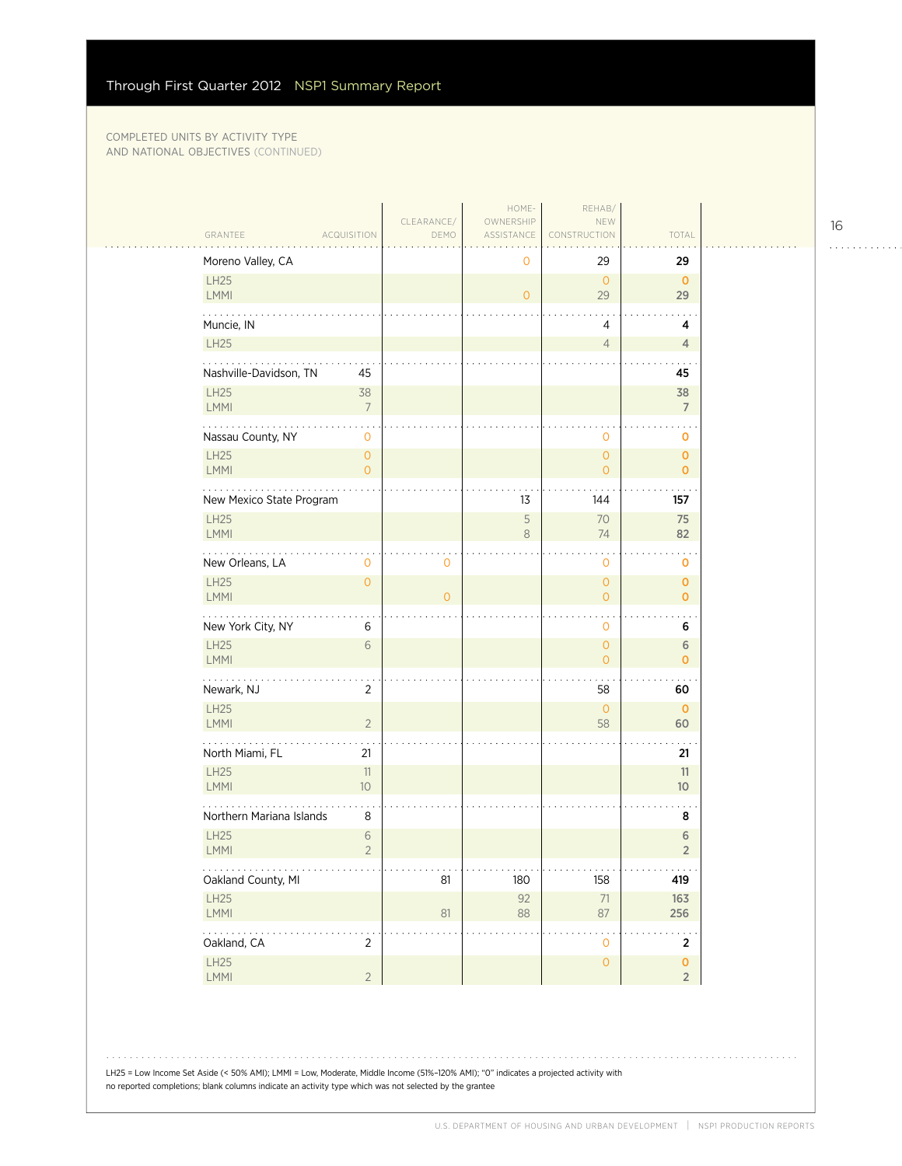|                                                            | CLEARANCE/                           | HOME-<br>OWNERSHIP                    | REHAB/<br>NEW                         |                                |  |
|------------------------------------------------------------|--------------------------------------|---------------------------------------|---------------------------------------|--------------------------------|--|
| GRANTEE<br><b>ACQUISITION</b>                              | DEMO                                 | ASSISTANCE                            | <b>NSTRUCTION</b>                     | TOTAL                          |  |
| Moreno Valley, CA                                          |                                      | 0                                     | 29                                    | 29                             |  |
| LH25<br><b>LMMI</b>                                        |                                      | $\mathbf{O}$                          | $\overline{0}$<br>29                  | $\mathbf{0}$<br>29             |  |
| Muncie, IN                                                 |                                      |                                       | 4                                     | 4                              |  |
| LH25                                                       |                                      |                                       | $\overline{4}$                        | 4                              |  |
| Nashville-Davidson, TN<br>45                               |                                      |                                       |                                       | 45                             |  |
| <b>LH25</b><br>38<br><b>LMMI</b><br>$\boldsymbol{7}$       |                                      |                                       |                                       | 38<br>$\overline{7}$           |  |
| 2020au<br>$\star$<br>Nassau County, NY<br>$\mathbf 0$      |                                      |                                       | $\mathbf 0$                           | 0                              |  |
| LH25<br>$\mathsf{O}\xspace$<br>$\mathsf{O}\xspace$<br>LMMI |                                      |                                       | $\circ$<br>$\overline{0}$             | $\overline{0}$<br>$\mathbf{o}$ |  |
| New Mexico State Program                                   |                                      | 13                                    | 144                                   | 157                            |  |
| <b>LH25</b>                                                |                                      | 5                                     | 70                                    | 75                             |  |
| LMMI                                                       |                                      | $\,8\,$                               | 74                                    | 82                             |  |
| .<br>New Orleans, LA<br>0                                  | 0                                    |                                       | $\mathbf 0$                           | 0                              |  |
| LH25<br>$\mathsf{O}\xspace$<br><b>LMMI</b>                 | $\overline{O}$                       |                                       | $\overline{0}$<br>$\overline{0}$      | 0<br>$\mathbf{O}$              |  |
| New York City, NY<br>$\,6$                                 |                                      |                                       | $\mathbf 0$                           | 6                              |  |
| <b>LH25</b><br>6<br><b>LMMI</b>                            |                                      |                                       | $\overline{0}$<br>$\overline{0}$      | 6<br>$\mathbf{o}$              |  |
| Newark, NJ<br>$\overline{2}$                               |                                      |                                       | 58                                    | 60                             |  |
| LH25<br>$\sqrt{2}$<br>LMMI                                 |                                      |                                       | $\overline{0}$<br>58                  | $\mathbf 0$<br>60              |  |
| North Miami, FL<br>21                                      |                                      |                                       |                                       | 21                             |  |
| LH25<br>$11\,$<br>LMMI<br>10                               |                                      |                                       |                                       | 11<br>10 <sup>°</sup>          |  |
| $\ddot{\phantom{1}}$<br>Northern Mariana Islands<br>8      |                                      |                                       |                                       | 8                              |  |
| <b>LH25</b><br>$\sqrt{6}$<br>$\overline{2}$<br>LMMI        |                                      |                                       |                                       | $\sqrt{6}$<br>$\sqrt{2}$       |  |
| .<br>Oakland County, MI                                    | $\alpha$ , $\alpha$ , $\alpha$<br>81 | $\alpha$ , $\alpha$ , $\alpha$<br>180 | $\alpha$ , $\alpha$ , $\alpha$<br>158 | .<br>419                       |  |
| LH25<br>LMMI                                               | 81                                   | 92<br>88                              | $71\,$<br>87                          | 163<br>256                     |  |
| .<br>Oakland, CA<br>$\overline{2}$                         |                                      |                                       | $\mathbf 0$                           | $\overline{2}$                 |  |
| LH25                                                       |                                      |                                       | $\mathsf{O}\xspace$                   | $\overline{\mathbf{0}}$        |  |
| $\sqrt{2}$<br>LMMI                                         |                                      |                                       |                                       | $\overline{2}$                 |  |

16

. . . . . . . . . . . .

LH25 = Low Income Set Aside (< 50% AMI); LMMI = Low, Moderate, Middle Income (51%–120% AMI); "0" indicates a projected activity with no reported completions; blank columns indicate an activity type which was not selected by the grantee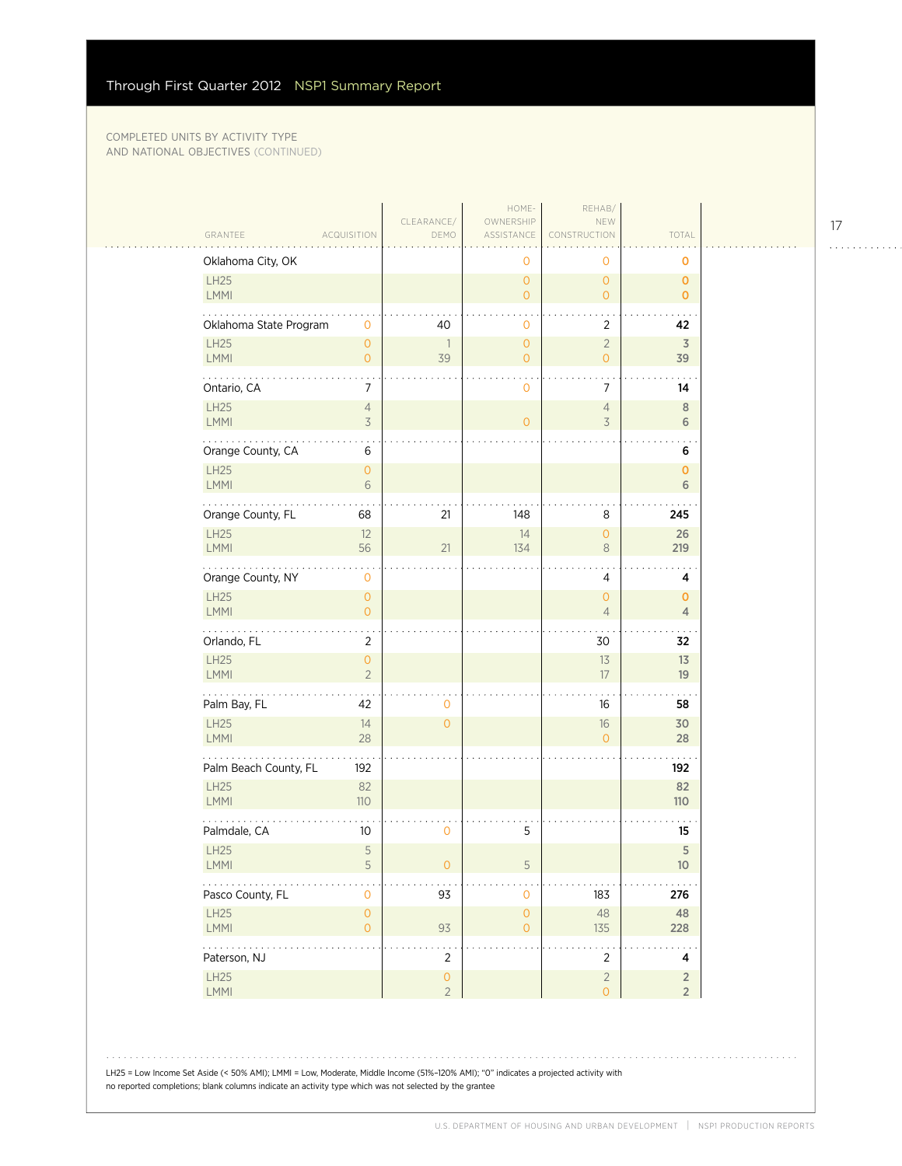|                            |                                                          | CLEARANCE/                            | HOME-<br>OWNERSHIP                    | REHAB/<br>NEW                    |                                  |  |
|----------------------------|----------------------------------------------------------|---------------------------------------|---------------------------------------|----------------------------------|----------------------------------|--|
| GRANTEE                    | <b>ACQUISITION</b>                                       | DEMO                                  | ASSISTANCE                            | CONSTRUCTION                     | TOTAL                            |  |
|                            | Oklahoma City, OK                                        |                                       | $\mathbf 0$                           | 0                                | O                                |  |
| <b>LH25</b><br>LMMI        |                                                          |                                       | $\overline{0}$<br>$\overline{0}$      | $\overline{0}$<br>$\overline{0}$ | $\mathbf{0}$<br>$\mathbf{0}$     |  |
|                            | Oklahoma State Program<br>$\mathbf 0$                    | 40                                    | $\mathbf{0}$                          | 2                                | 42                               |  |
| <b>LH25</b><br>LMMI        | $\mathsf{O}\xspace$<br>$\circ$                           | 1<br>39                               | $\mathsf{O}\xspace$<br>$\overline{0}$ | $\overline{2}$<br>$\overline{0}$ | 3<br>39                          |  |
| Ontario, CA                | 7                                                        |                                       | $\circ$                               | 7                                | 14                               |  |
| <b>LH25</b><br>LMMI        | $\overline{4}$<br>3                                      |                                       | $\overline{0}$                        | $\overline{4}$<br>3              | $\,8\,$<br>6                     |  |
|                            | $\cdot$<br>Orange County, CA<br>6                        |                                       |                                       |                                  | 6                                |  |
| <b>LH25</b><br>LMMI        | $\mathsf{O}\xspace$<br>$6\,$                             |                                       |                                       |                                  | $\mathbf{O}$<br>6                |  |
|                            | Orange County, FL<br>68                                  | 21                                    | 148                                   | 8                                | 245                              |  |
| <b>LH25</b><br><b>LMMI</b> | 12<br>56                                                 | 21                                    | 14<br>134                             | $\mathsf{O}\xspace$<br>8         | 26<br>219                        |  |
|                            | $\ddot{\phantom{a}}$<br>Orange County, NY<br>$\mathbf 0$ |                                       |                                       | 4                                | 4                                |  |
| <b>LH25</b><br>LMMI        | $\mathsf{O}\xspace$<br>$\mathsf{O}\xspace$               |                                       |                                       | $\overline{O}$<br>$\overline{4}$ | $\mathbf{0}$<br>$\overline{4}$   |  |
| Orlando, FL                | $\overline{2}$                                           |                                       |                                       | 30                               | 32                               |  |
| LH25<br>LMMI               | $\mathsf{O}\xspace$<br>$\overline{2}$                    |                                       |                                       | 13<br>17                         | 13<br>19                         |  |
| .<br>Palm Bay, FL          | 42                                                       | 0                                     |                                       | 16                               | 58                               |  |
| LH25<br>LMMI               | 14<br>28                                                 | $\mathsf{O}\xspace$                   |                                       | $16\,$<br>$\overline{O}$         | 30<br>28                         |  |
|                            | Palm Beach County, FL<br>192                             |                                       |                                       |                                  | 192                              |  |
| <b>LH25</b><br><b>LMMI</b> | 82<br>110                                                |                                       |                                       |                                  | 82<br>110                        |  |
| Palmdale, CA               | 10 <sup>°</sup>                                          | 0                                     | 5                                     |                                  | 15                               |  |
| LH25<br>$\mathsf{LMMI}$    | 5<br>5                                                   | 0                                     | 5                                     |                                  | 5<br>$10$                        |  |
|                            | Pasco County, FL<br>$\mathsf{O}\xspace$                  | 93                                    | $\mathbf 0$                           | 183                              | 276                              |  |
| LH25<br>LMMI               | $\mathsf{O}\xspace$<br>$\mathsf{O}\xspace$               | 93                                    | $\mathsf{O}\xspace$<br>$\overline{0}$ | 48<br>135                        | 48<br>228                        |  |
| .<br>Paterson, NJ          |                                                          | $\overline{2}$                        |                                       | $\overline{2}$                   | 4                                |  |
| LH25<br>LMMI               |                                                          | $\mathsf{O}\xspace$<br>$\overline{2}$ |                                       | $\overline{2}$<br>$\overline{O}$ | $\overline{2}$<br>2 <sup>7</sup> |  |

LH25 = Low Income Set Aside (< 50% AMI); LMMI = Low, Moderate, Middle Income (51%–120% AMI); "0" indicates a projected activity with no reported completions; blank columns indicate an activity type which was not selected by the grantee

17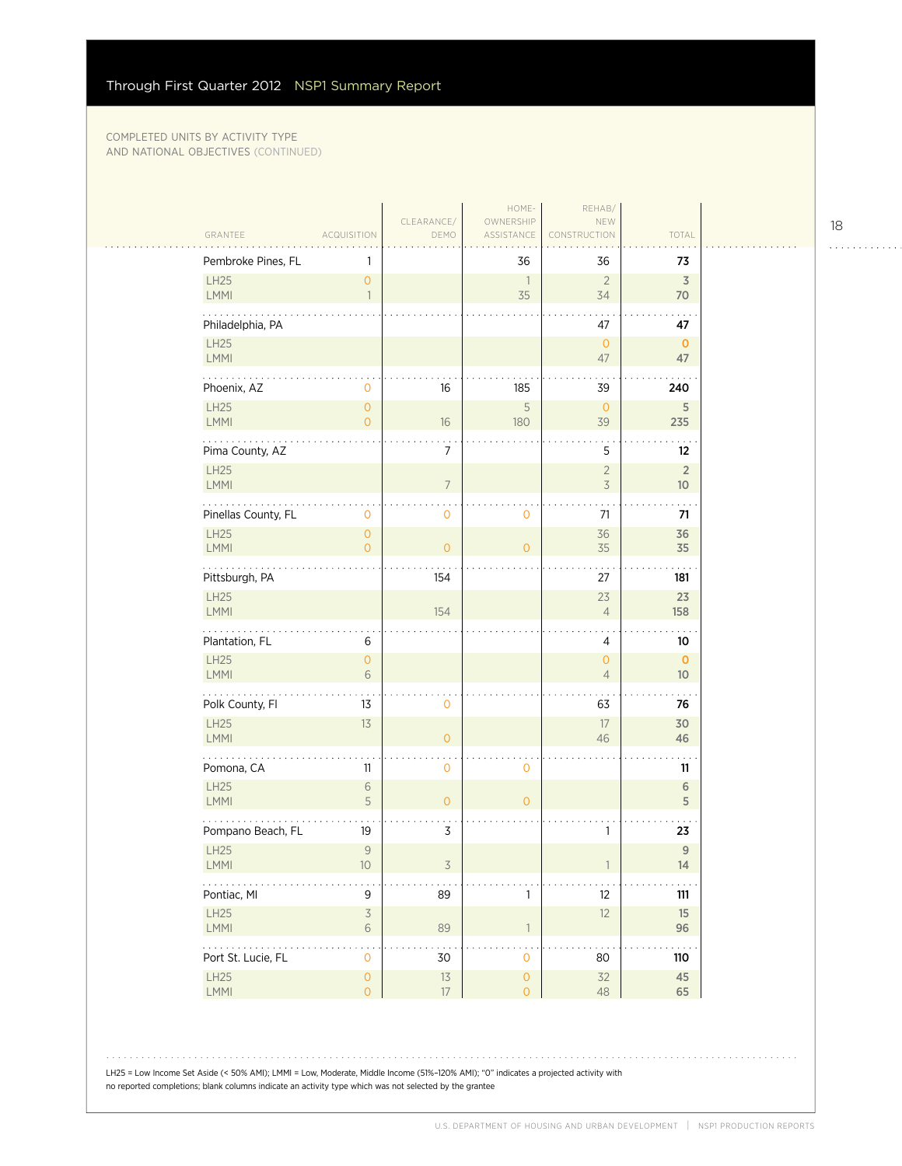|                            |                                             | CLEARANCE/     | HOME-<br>OWNERSHIP                    | REHAB/<br>NEW                              |                                   |
|----------------------------|---------------------------------------------|----------------|---------------------------------------|--------------------------------------------|-----------------------------------|
| GRANTEE                    | <b>ACQUISITION</b>                          | DEMO           | ASSISTANCE                            | CONSTRUCTION                               | TOTAL                             |
| Pembroke Pines, FL         |                                             |                | 36                                    | 36                                         | 73                                |
| LH25<br>LMMI               | $\overline{0}$<br>$\mathbf{1}$              |                | $\overline{1}$<br>35                  | $\overline{2}$<br>34                       | $\overline{3}$<br>70              |
| Philadelphia, PA           |                                             |                |                                       | 47                                         | 47                                |
| LH25<br><b>LMMI</b>        |                                             |                |                                       | $\overline{0}$<br>47                       | $\mathbf 0$<br>47                 |
| .<br>Phoenix, AZ           | $\mathbf 0$                                 | 16             | 185                                   | 39                                         | 240                               |
| <b>LH25</b><br>LMMI        | $\mathsf{O}\xspace$<br>$\overline{0}$       | 16             | $\sqrt{5}$<br>180                     | $\mathbf{O}$<br>39                         | 5<br>235                          |
| Pima County, AZ            |                                             | 7              |                                       | 5                                          | 12                                |
| LH25<br>LMMI               |                                             | $\overline{7}$ |                                       | $\overline{2}$<br>$\overline{\mathcal{S}}$ | $\overline{2}$<br>10 <sup>°</sup> |
| Pinellas County, FL        | 0                                           | 0              | 0                                     | 71                                         | 71                                |
| LH25<br><b>LMMI</b>        | $\mathsf{O}\xspace$<br>$\overline{0}$       | $\overline{O}$ | $\overline{O}$                        | 36<br>35                                   | 36<br>35                          |
| .<br>Pittsburgh, PA        |                                             | 154            |                                       | 27                                         | 181                               |
| LH25<br>LMMI               |                                             | 154            |                                       | 23<br>$\overline{4}$                       | 23<br>158                         |
| Plantation, FL             | 6                                           |                |                                       | 4                                          | 10                                |
| LH25<br>LMMI               | $\mathsf{O}\xspace$<br>$6\,$                |                |                                       | $\overline{O}$<br>$\overline{4}$           | $\mathbf 0$<br>10 <sup>°</sup>    |
| Polk County, Fl            | 13                                          | 0              |                                       | 63                                         | 76                                |
| LH25<br><b>LMMI</b>        | 13                                          | $\circ$        |                                       | 17<br>46                                   | 30<br>46                          |
| Pomona, CA                 | 11                                          | $\mathbf{O}$   | $\mathbf 0$                           |                                            | 11                                |
| <b>LH25</b><br><b>LMMI</b> | 6<br>5                                      | $\circ$        | $\overline{O}$                        |                                            | $\sqrt{6}$<br>5                   |
| Pompano Beach, FL          | 19                                          | 3              |                                       | 1                                          | 23                                |
| LH25<br><b>LMMI</b>        | $\overline{9}$<br>10                        | 3              |                                       |                                            | $\overline{9}$<br>14              |
| $\ldots$ .<br>Pontiac, MI  | 9                                           | 89             | $\mathbf{1}$                          | 12                                         | $111$                             |
| LH25<br>LMMI               | $\overline{\mathcal{S}}$<br>6               | 89             | $\overline{1}$                        | 12                                         | 15<br>96                          |
| .<br>Port St. Lucie, FL    | $\ddot{\phantom{0}}$<br>$\mathsf{O}\xspace$ | 30             | $\mathbf 0$                           | 80                                         | 110                               |
| <b>LH25</b><br>LMMI        | $\mathsf{O}\xspace$<br>$\overline{O}$       | $13\,$<br>17   | $\mathsf{O}\xspace$<br>$\overline{O}$ | 32<br>48                                   | 45<br>65                          |

LH25 = Low Income Set Aside (< 50% AMI); LMMI = Low, Moderate, Middle Income (51%–120% AMI); "0" indicates a projected activity with no reported completions; blank columns indicate an activity type which was not selected by the grantee

18

. . . . . . . . . . . .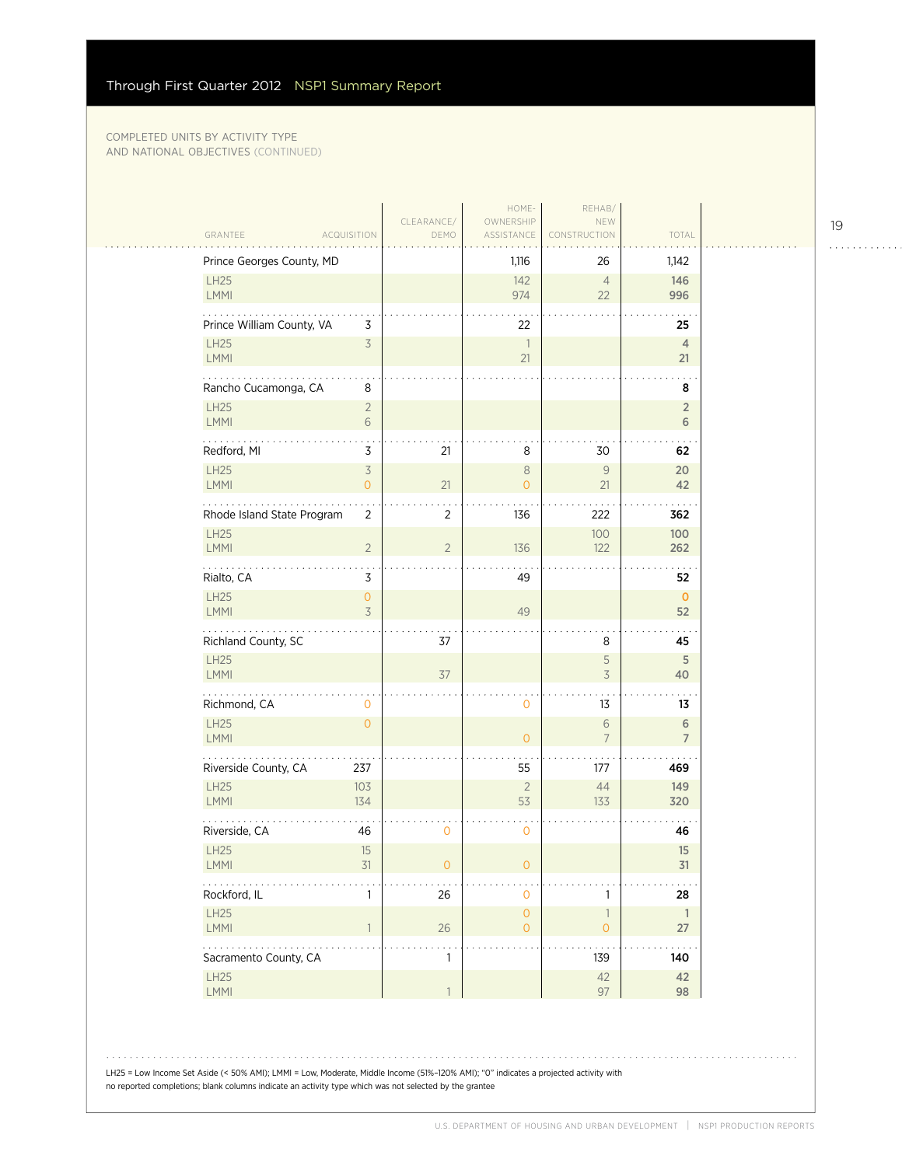|                                                          |                                                  | HOME-                                 | REHAB/                                   |                               |
|----------------------------------------------------------|--------------------------------------------------|---------------------------------------|------------------------------------------|-------------------------------|
| GRANTEE<br><b>ACQUISITION</b>                            | CLEARANCE/<br>DEMO                               | OWNERSHIP<br>ASSISTANCE               | NEW<br><b><i>FRUCTION</i></b>            | TOTAL                         |
| Prince Georges County, MD                                |                                                  | 1,116                                 | 26                                       | 1,142                         |
| LH25<br>LMMI                                             |                                                  | 142<br>974                            | $\overline{4}$<br>22                     | 146<br>996                    |
| Prince William County, VA                                | 3                                                | 22                                    |                                          | 25                            |
| LH25<br>LMMI                                             | $\overline{\mathcal{S}}$                         | $\overline{\phantom{a}}$<br>21        |                                          | $\overline{4}$<br>21          |
| .<br>Rancho Cucamonga, CA                                | 8                                                |                                       |                                          | 8                             |
| LH25<br>LMMI                                             | $\overline{2}$<br>6                              |                                       |                                          | $\overline{2}$<br>6           |
| Redford, MI                                              | 3<br>21                                          | 8                                     | 30                                       | 62                            |
| <b>LH25</b><br>LMMI                                      | $\overline{\mathcal{S}}$<br>21<br>$\overline{0}$ | $\,8\,$<br>$\mathbf{O}$               | $\mathcal G$<br>21                       | 20<br>42                      |
| Rhode Island State Program                               | $\overline{2}$<br>$\overline{2}$                 | 136                                   | 222                                      | 362                           |
| LH25<br>LMMI                                             | $\overline{2}$<br>$\overline{2}$                 | 136                                   | 100<br>122                               | 100<br>262                    |
| Rialto, CA                                               | 3                                                | 49                                    |                                          | 52                            |
| LH25<br>LMMI                                             | 0<br>$\overline{3}$                              | 49                                    |                                          | $\mathbf{O}$<br>52            |
| Richland County, SC                                      | 37                                               |                                       | 8                                        | 45                            |
| LH25<br>LMMI                                             | 37                                               |                                       | 5<br>3                                   | 5<br>40                       |
| .<br>Richmond, CA                                        | 0                                                | $\mathbf 0$                           | 13                                       | 13                            |
| LH25<br>LMMI                                             | $\overline{O}$                                   | $\overline{O}$                        | 6<br>$\overline{7}$                      | $\,$ 6 $\,$<br>$\overline{7}$ |
| Riverside County, CA<br>237                              |                                                  | 55                                    | 177                                      | 469                           |
| <b>LH25</b><br>103<br>LMMI<br>134                        |                                                  | $\sqrt{2}$<br>53                      | 44<br>133                                | 149<br>320                    |
| Riverside, CA<br>46                                      | 0                                                | $\mathbf 0$                           |                                          | 46                            |
| LH25<br>LMMI                                             | 15<br>31<br>$\mathbf 0$                          | 0                                     |                                          | 15<br>31                      |
| Rockford, IL                                             | $26\,$<br>1                                      | $\mathbf{O}$                          | 1                                        | 28                            |
| LH25<br>LMMI                                             | $26\,$<br>$\overline{1}$                         | $\mathsf{O}\xspace$<br>$\overline{O}$ | $\ensuremath{\mathbb{I}}$<br>$\mathsf O$ | $\overline{1}$<br>27          |
| $\mathbb{Z}^2$ . $\mathbb{Z}^2$<br>Sacramento County, CA | 1                                                |                                       | 139                                      | 140                           |
| LH25<br>LMMI                                             |                                                  |                                       | 42<br>97                                 | 42<br>98                      |

LH25 = Low Income Set Aside (< 50% AMI); LMMI = Low, Moderate, Middle Income (51%–120% AMI); "0" indicates a projected activity with no reported completions; blank columns indicate an activity type which was not selected by the grantee

19

. . . . . . . . . . . .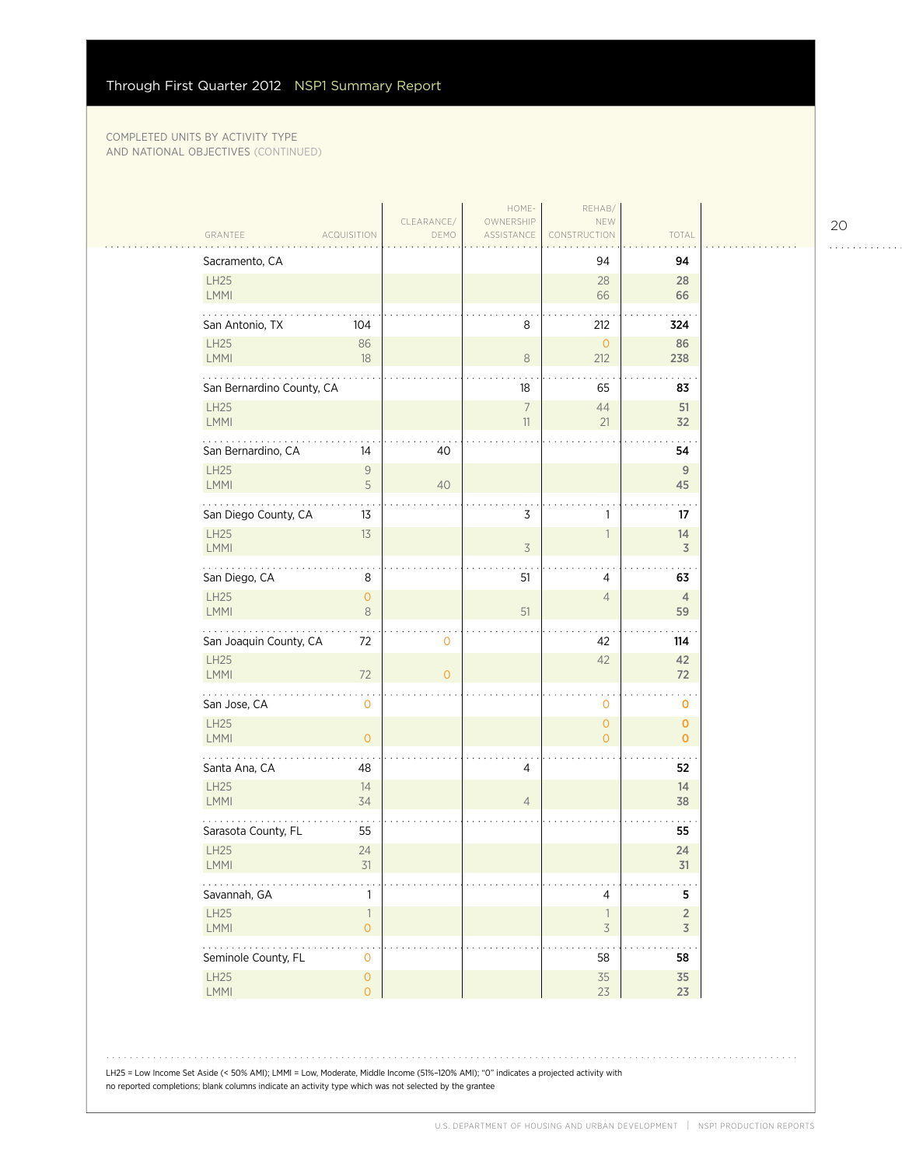|                                                                                                  |                    | HOME-                    | REHAB/                                               |                                  |
|--------------------------------------------------------------------------------------------------|--------------------|--------------------------|------------------------------------------------------|----------------------------------|
| GRANTEE<br><b>ACQUISITION</b>                                                                    | CLEARANCE/<br>DEMO | OWNERSHIP<br>ASSISTANCE  | NEW<br>CONSTRUCTION                                  | TOTAL                            |
| Sacramento, CA                                                                                   |                    |                          | 94                                                   | 94                               |
| LH25<br><b>LMMI</b>                                                                              |                    |                          | 28<br>66                                             | 28<br>66                         |
| San Antonio, TX<br>104                                                                           |                    | 8                        | 212                                                  | 324                              |
| LH25<br>86<br>LMMI<br>$18\,$                                                                     |                    | $\,8\,$                  | $\overline{0}$<br>212                                | 86<br>238                        |
| San Bernardino County, CA                                                                        |                    | 18                       | 65                                                   | 83                               |
| <b>LH25</b><br>LMMI                                                                              |                    | $\overline{7}$<br>$11\,$ | 44<br>21                                             | 51<br>32                         |
| San Bernardino, CA<br>14                                                                         | 40                 |                          |                                                      | 54                               |
| LH25<br>$\mathsf{9}$<br><b>LMMI</b><br>5                                                         | 40                 |                          |                                                      | $\mathsf{9}$<br>45               |
| San Diego County, CA<br>13                                                                       |                    | 3                        | 1                                                    | 17                               |
| LH25<br>13<br>LMMI                                                                               |                    | $\overline{3}$           | $\overline{1}$                                       | 14<br>$\overline{\mathsf{3}}$    |
| .<br>San Diego, CA<br>8                                                                          |                    | 51                       | 4                                                    | 63                               |
| LH25<br>$\mathsf{O}\xspace$<br>$\,8\,$<br><b>LMMI</b>                                            |                    | 51                       | $\overline{4}$                                       | $\overline{4}$<br>59             |
| San Joaquin County, CA<br>72                                                                     | 0                  |                          | 42                                                   | 114                              |
| LH25<br>72<br>LMMI                                                                               | $\overline{O}$     |                          | 42                                                   | 42<br>72                         |
| .<br>San Jose, CA<br>$\mathbf 0$                                                                 |                    |                          | $\mathbf 0$                                          | O                                |
| LH25<br>$\mathsf{O}\xspace$<br><b>LMMI</b>                                                       |                    |                          | $\overline{O}$<br>$\overline{O}$                     | $\mathbf 0$<br>$\mathbf 0$       |
| Santa Ana, CA<br>48                                                                              |                    | 4                        |                                                      | 52                               |
| <b>LH25</b><br>14<br>LMMI<br>34                                                                  |                    | $\overline{4}$           |                                                      | 14<br>38                         |
| Sarasota County, FL<br>55                                                                        |                    |                          |                                                      | 55                               |
| LH25<br>24<br><b>LMMI</b><br>31                                                                  |                    |                          |                                                      | 24<br>31                         |
|                                                                                                  |                    |                          |                                                      |                                  |
| Savannah, GA<br>1                                                                                |                    |                          | 4                                                    | 5                                |
| LH25<br>$\overline{\phantom{a}}$<br>LMMI<br>$\mathsf{O}\xspace$                                  |                    |                          | $\overline{\phantom{a}}$<br>$\overline{\mathcal{S}}$ | $\overline{2}$<br>$\overline{3}$ |
| .<br>$\star$<br>Seminole County, FL<br>$\mathsf{O}\xspace$<br><b>LH25</b><br>$\mathsf{O}\xspace$ |                    |                          | 58<br>$35\,$                                         | 58<br>35                         |

LH25 = Low Income Set Aside (< 50% AMI); LMMI = Low, Moderate, Middle Income (51%–120% AMI); "0" indicates a projected activity with no reported completions; blank columns indicate an activity type which was not selected by the grantee

20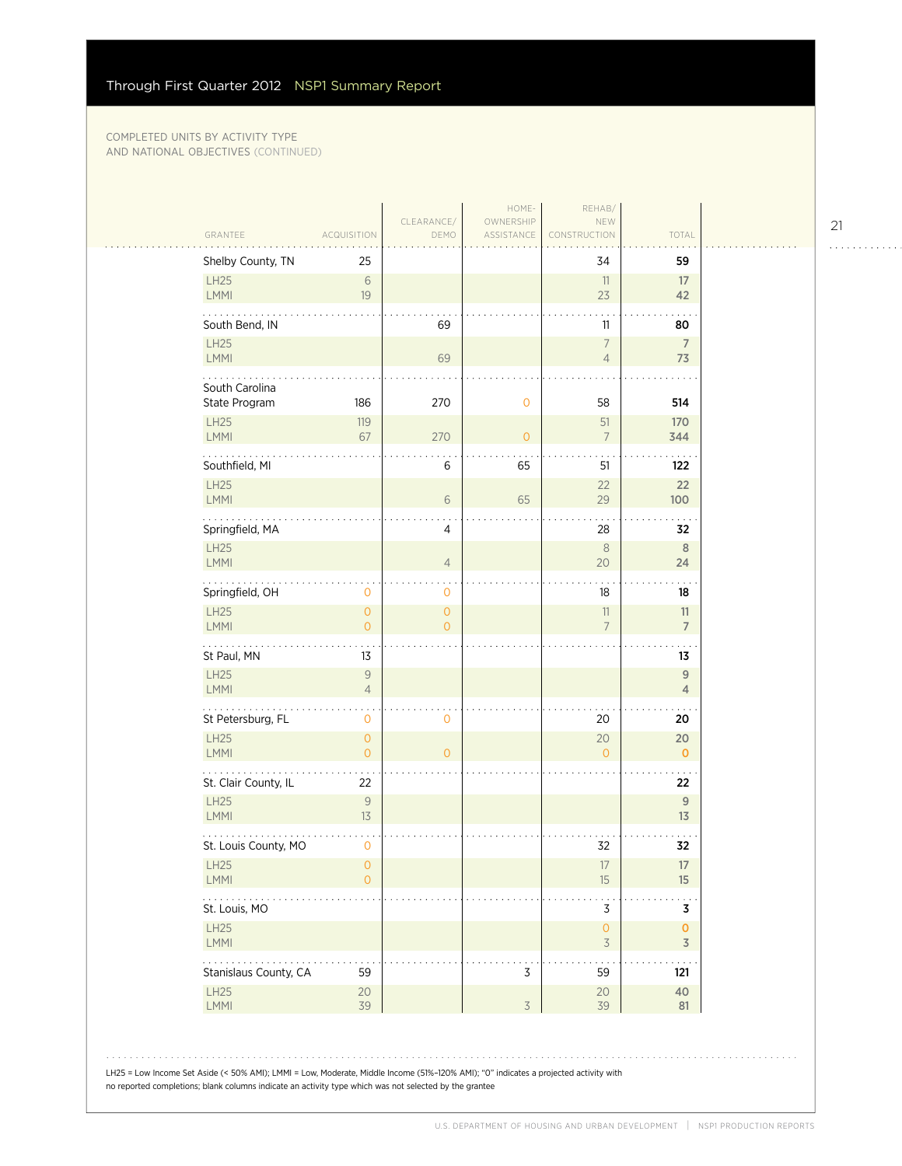| GRANTEE                                              | <b>ACQUISITION</b>                                                          | CLEARANCE/<br>DEMO               | OWNERSHIP<br>ASSISTANCE                                                                                                              | NEW<br>CONSTRUCTION                             | TOTAL                         |
|------------------------------------------------------|-----------------------------------------------------------------------------|----------------------------------|--------------------------------------------------------------------------------------------------------------------------------------|-------------------------------------------------|-------------------------------|
| Shelby County, TN                                    | 25                                                                          |                                  |                                                                                                                                      | 34                                              | 59                            |
| LH25<br>LMMI                                         | $\sqrt{6}$<br>19                                                            |                                  |                                                                                                                                      | 11<br>23                                        | 17<br>42                      |
| South Bend, IN                                       |                                                                             | 69                               |                                                                                                                                      | 11                                              | 80                            |
| LH25<br>LMMI                                         |                                                                             | 69                               |                                                                                                                                      | $\overline{7}$<br>$\overline{4}$                | 7<br>73                       |
| South Carolina                                       |                                                                             |                                  |                                                                                                                                      |                                                 |                               |
| State Program                                        | 186                                                                         | 270                              | $\mathbf 0$                                                                                                                          | 58                                              | 514                           |
| LH25<br>LMMI                                         | 119<br>67                                                                   | 270                              | $\overline{0}$                                                                                                                       | 51<br>$\overline{7}$                            | 170<br>344                    |
| Southfield, MI                                       |                                                                             | 6                                | 65                                                                                                                                   | 51                                              | 122                           |
| LH25<br>LMMI                                         |                                                                             | 6                                | 65                                                                                                                                   | 22<br>29                                        | 22<br>100                     |
| Springfield, MA                                      |                                                                             | 4                                |                                                                                                                                      | 28                                              | 32                            |
| <b>LH25</b><br>LMMI                                  |                                                                             | $\overline{4}$                   |                                                                                                                                      | 8<br>20                                         | 8<br>24                       |
| Springfield, OH                                      | $\mathbf 0$                                                                 | 0                                |                                                                                                                                      | 18                                              | 18                            |
| LH25<br>LMMI                                         | $\mathbf{O}$<br>$\overline{O}$                                              | $\overline{0}$<br>$\overline{O}$ |                                                                                                                                      | $11\,$<br>$\overline{7}$                        | 11<br>$\overline{7}$          |
| St Paul, MN                                          | 13                                                                          |                                  |                                                                                                                                      |                                                 | 13                            |
| LH25<br>LMMI                                         | $\mathcal{G}% _{M_{1},M_{2}}^{\alpha,\beta}(\varepsilon)$<br>$\overline{4}$ |                                  |                                                                                                                                      |                                                 | $\mathsf g$<br>$\overline{4}$ |
| $\mathbf{1}$ , and $\mathbf{1}$<br>St Petersburg, FL | $\mathbf 0$                                                                 | 0                                |                                                                                                                                      | 20                                              | 20                            |
| <b>LH25</b><br>LMMI                                  | $\mathsf{O}\xspace$<br>$\overline{O}$                                       | $\Omega$                         |                                                                                                                                      | 20<br>$\overline{O}$                            | 20<br>$\mathbf{O}$            |
| St. Clair County, IL                                 | 22                                                                          |                                  |                                                                                                                                      |                                                 | 22                            |
| LH25<br>LMMI                                         | $\mathsf{9}$<br>13                                                          |                                  |                                                                                                                                      |                                                 | $9$<br>13                     |
| St. Louis County, MO                                 | $\mathbf 0$                                                                 |                                  |                                                                                                                                      | 32                                              | 32                            |
| <b>LH25</b><br>LMMI                                  | $\overline{0}$<br>$\circ$                                                   |                                  |                                                                                                                                      | 17<br>15                                        | 17<br>15                      |
| .<br>St. Louis, MO                                   |                                                                             |                                  |                                                                                                                                      | 3                                               | 3                             |
| LH25<br>LMMI                                         |                                                                             |                                  |                                                                                                                                      | $\mathsf{O}\xspace$<br>$\overline{\mathcal{S}}$ | $\mathbf 0$<br>$\overline{3}$ |
| Stanislaus County, CA                                | 59                                                                          |                                  | 3                                                                                                                                    | 59                                              | 121                           |
| LH25<br>LMMI                                         | 20<br>39                                                                    |                                  | $\overline{3}$                                                                                                                       | 20<br>39                                        | 40<br>81                      |
|                                                      |                                                                             |                                  | LH25 = Low Income Set Aside (< 50% AMI); LMMI = Low, Moderate, Middle Income (51%-120% AMI); "O" indicates a projected activity with |                                                 |                               |

21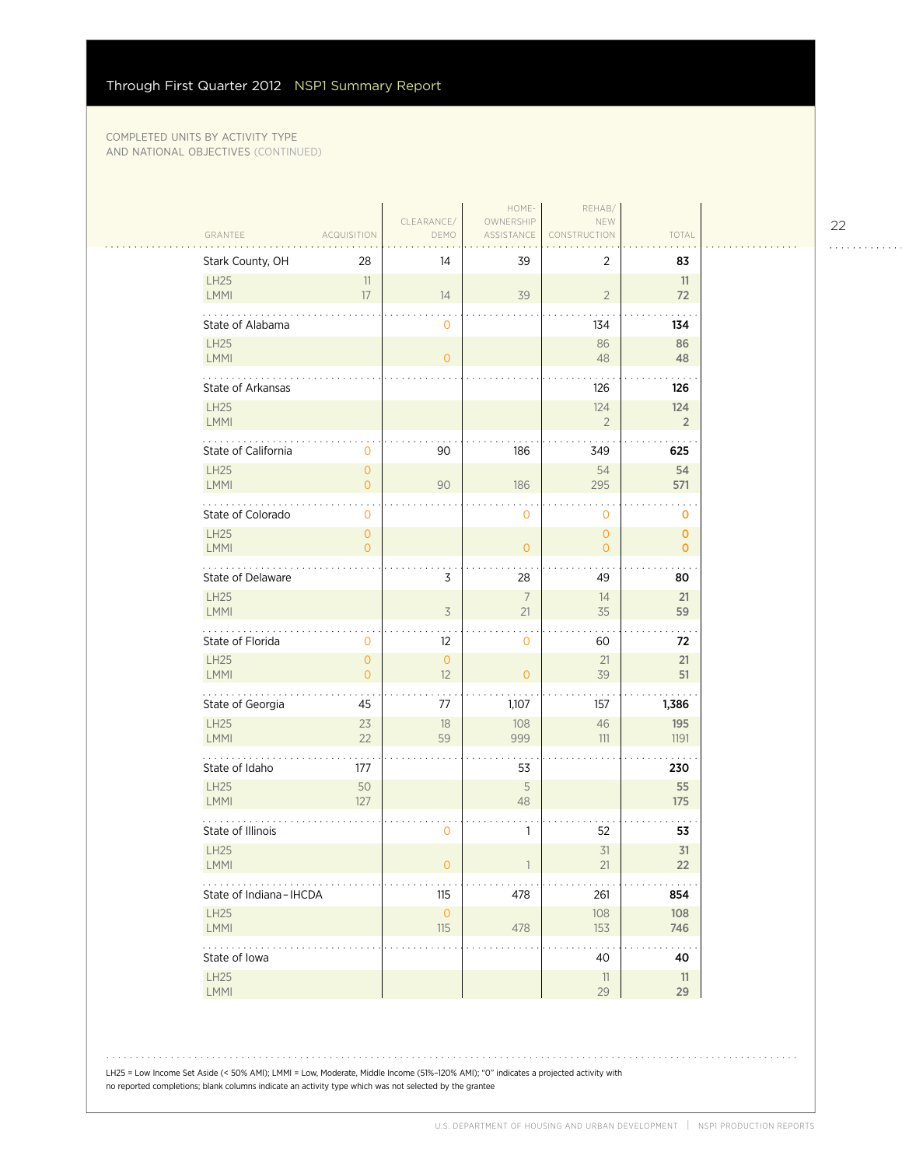|                        |                                  |                            | HOME-                   | REHAB/                    |                            |  |
|------------------------|----------------------------------|----------------------------|-------------------------|---------------------------|----------------------------|--|
| GRANTEE                | <b>ACQUISITION</b>               | CLEARANCE/<br>DEMO         | OWNERSHIP<br>ASSISTANCE | NEW<br>CONSTRUCTION       | TOTAL                      |  |
| Stark County, OH       | 28                               | 14                         | 39                      | 2                         | 83                         |  |
| LH25                   | 11                               |                            |                         |                           | 11                         |  |
| LMMI                   | 17                               | 14                         | 39                      | $\overline{2}$            | 72                         |  |
| State of Alabama       |                                  | 0                          |                         | 134                       | 134                        |  |
| <b>LH25</b><br>LMMI    |                                  | $\mathbf{O}$               |                         | 86<br>48                  | 86<br>48                   |  |
| .<br>State of Arkansas |                                  |                            |                         | 126                       | 126                        |  |
| <b>LH25</b>            |                                  |                            |                         | 124                       | 124                        |  |
| LMMI                   |                                  |                            |                         | $\overline{2}$            | $\overline{2}$             |  |
| State of California    | $\mathbf 0$                      | 90                         | 186                     | 349                       | 625                        |  |
| <b>LH25</b><br>LMMI    | $\overline{0}$<br>$\overline{0}$ | 90                         | 186                     | 54<br>295                 | 54<br>571                  |  |
|                        |                                  |                            |                         |                           |                            |  |
| State of Colorado      | $\mathbf 0$                      |                            | $\mathbf 0$             | $\mathbf 0$               | 0                          |  |
| <b>LH25</b><br>LMMI    | $\circ$<br>$\overline{O}$        |                            | $\mathbf{O}$            | $\circ$<br>$\overline{0}$ | $\mathbf 0$<br>$\mathbf 0$ |  |
| State of Delaware      |                                  | 3                          | 28                      | 49                        | 80                         |  |
| <b>LH25</b>            |                                  |                            | $7\overline{ }$         | 14                        | 21                         |  |
| LMMI                   |                                  | $\overline{3}$             | 21                      | 35                        | 59                         |  |
| State of Florida       | $\mathbf 0$                      | 12                         | 0                       | 60                        | 72                         |  |
| LH25<br>LMMI           | $\overline{0}$<br>$\overline{0}$ | $\overline{0}$<br>12       | $\overline{O}$          | 21<br>39                  | 21<br>51                   |  |
| .<br>State of Georgia  | 45                               | 77                         | 1,107                   | 157                       | 1,386                      |  |
| <b>LH25</b>            | 23                               | 18                         | 108                     | 46                        | 195                        |  |
| LMMI                   | 22                               | 59                         | 999                     | 111                       | 1191                       |  |
| State of Idaho         | 177                              |                            | 53                      |                           | 230                        |  |
| <b>LH25</b><br>LMMI    | 50<br>127                        |                            | 5<br>48                 |                           | 55<br>175                  |  |
| State of Illinois      |                                  | 0                          | $\mathbf{1}$            | 52                        | 53                         |  |
| LH25                   |                                  |                            |                         | 31                        | 31                         |  |
| LMMI                   |                                  | 0                          |                         | 21                        | 22                         |  |
| State of Indiana-IHCDA |                                  | $115$                      | 478                     | 261                       | 854                        |  |
| <b>LH25</b><br>LMMI    |                                  | $\mathsf{O}\xspace$<br>115 | 478                     | 108<br>153                | 108<br>746                 |  |
| .<br>State of Iowa     |                                  |                            |                         |                           |                            |  |
| LH25                   |                                  |                            |                         | 40<br>11                  | 40<br>11                   |  |
| LMMI                   |                                  |                            |                         | 29                        | 29                         |  |

22

. . . . . . . . . . . .

LH25 = Low Income Set Aside (< 50% AMI); LMMI = Low, Moderate, Middle Income (51%–120% AMI); "0" indicates a projected activity with no reported completions; blank columns indicate an activity type which was not selected by the grantee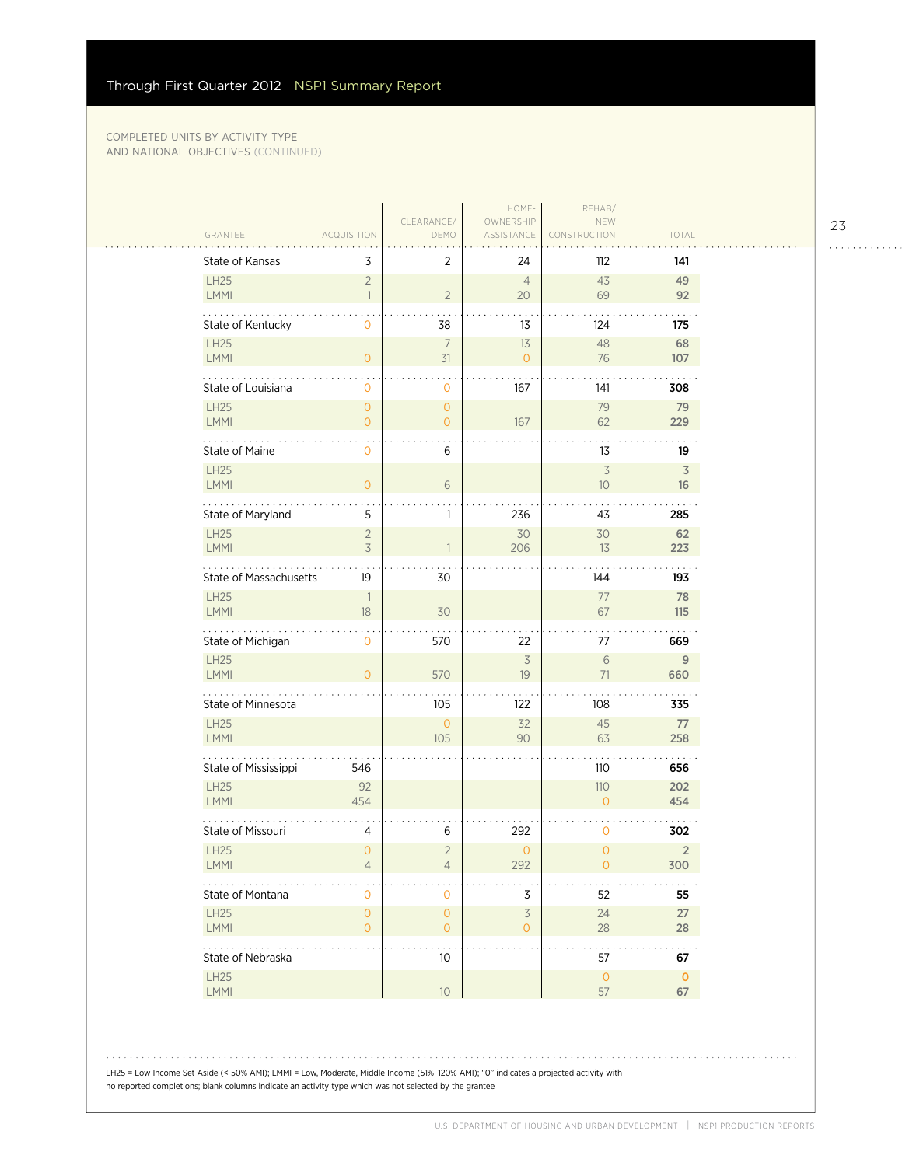$\sim$  .

|                           |                            | CLEARANCE/                | HOME-<br>OWNERSHIP         | REHAB/<br>NEW                  |                       |
|---------------------------|----------------------------|---------------------------|----------------------------|--------------------------------|-----------------------|
| GRANTEE                   | <b>ACQUISITION</b>         | DEMO                      | ASSISTANCE                 | RUCTION                        | TOTAL                 |
| State of Kansas           | 3                          | $\overline{2}$            | 24                         | 112                            | 141                   |
| LH25                      | $\overline{2}$             |                           | $\overline{4}$             | 43                             | 49                    |
| LMMI                      | $\overline{1}$             | $\overline{2}$            | 20                         | 69                             | 92                    |
| State of Kentucky         | 0                          | 38                        | 13                         | 124                            | 175                   |
| LH25<br>LMMI              | $\overline{O}$             | $\overline{7}$<br>31      | 13<br>$\overline{0}$       | 48<br>76                       | 68<br>107             |
| .                         |                            |                           |                            |                                |                       |
| State of Louisiana        | 0                          | $\mathbf 0$               | 167                        | 141                            | 308                   |
| <b>LH25</b><br>LMMI       | $\overline{0}$<br>$\Omega$ | $\circ$<br>$\overline{O}$ | 167                        | 79<br>62                       | 79<br>229             |
|                           |                            |                           |                            |                                |                       |
| State of Maine            | $\mathbf 0$                | 6                         |                            | 13                             | 19                    |
| <b>LH25</b><br>LMMI       | $\overline{O}$             | 6                         |                            | $\overline{\mathcal{S}}$<br>10 | $\overline{3}$<br>16  |
|                           |                            |                           |                            |                                |                       |
| State of Maryland         | 5                          | 1                         | 236                        | 43                             | 285                   |
| LH25<br>LMMI              | $\overline{2}$<br>3        | 1                         | 30<br>206                  | 30<br>13                       | 62<br>223             |
|                           |                            |                           |                            |                                |                       |
| State of Massachusetts    | 19                         | 30                        |                            | 144                            | 193                   |
| <b>LH25</b><br>LMMI       | $\mathbb{1}$<br>18         | 30                        |                            | 77<br>67                       | 78<br>115             |
|                           |                            |                           |                            |                                |                       |
| State of Michigan         | 0                          | 570                       | 22                         | 77                             | 669                   |
| <b>LH25</b><br>LMMI       | $\overline{O}$             | 570                       | $\overline{3}$<br>19       | 6<br>71                        | 9<br>660              |
| .                         |                            |                           |                            |                                |                       |
| State of Minnesota        |                            | 105                       | 122                        | 108                            | 335                   |
| LH25<br>LMMI              |                            | $\overline{0}$<br>105     | 32<br>90                   | 45<br>63                       | 77<br>258             |
|                           |                            |                           |                            |                                |                       |
| State of Mississippi      | 546                        |                           |                            | 110                            | 656                   |
| <b>LH25</b><br>LMMI       | 92<br>454                  |                           |                            | 110<br>$\overline{O}$          | 202<br>454            |
|                           |                            |                           |                            |                                |                       |
| State of Missouri<br>LH25 | 4<br>$\mathbf 0$           | 6<br>$\overline{2}$       | 292<br>$\mathsf{O}\xspace$ | 0<br>$\overline{O}$            | 302<br>$\overline{2}$ |
| <b>LMMI</b>               | 4                          | 4                         | 292                        | 0                              | 300                   |
| State of Montana          | $\mathbf 0$                | 0                         | 3                          | 52                             | 55                    |
| <b>LH25</b>               | $\overline{0}$             | $\mathsf{O}\xspace$       | $\preceq$                  | 24                             | 27                    |
| LMMI                      | $\overline{O}$             | $\overline{0}$            | $\overline{0}$             | 28                             | 28                    |
| .<br>State of Nebraska    |                            | 10                        |                            | 57                             | $\sim$<br>67          |
| LH25                      |                            |                           |                            | $\mathsf O$                    | $\mathbf 0$           |
| LMMI                      |                            | $10$                      |                            | 57                             | 67                    |

LH25 = Low Income Set Aside (< 50% AMI); LMMI = Low, Moderate, Middle Income (51%–120% AMI); "0" indicates a projected activity with no reported completions; blank columns indicate an activity type which was not selected by the grantee

23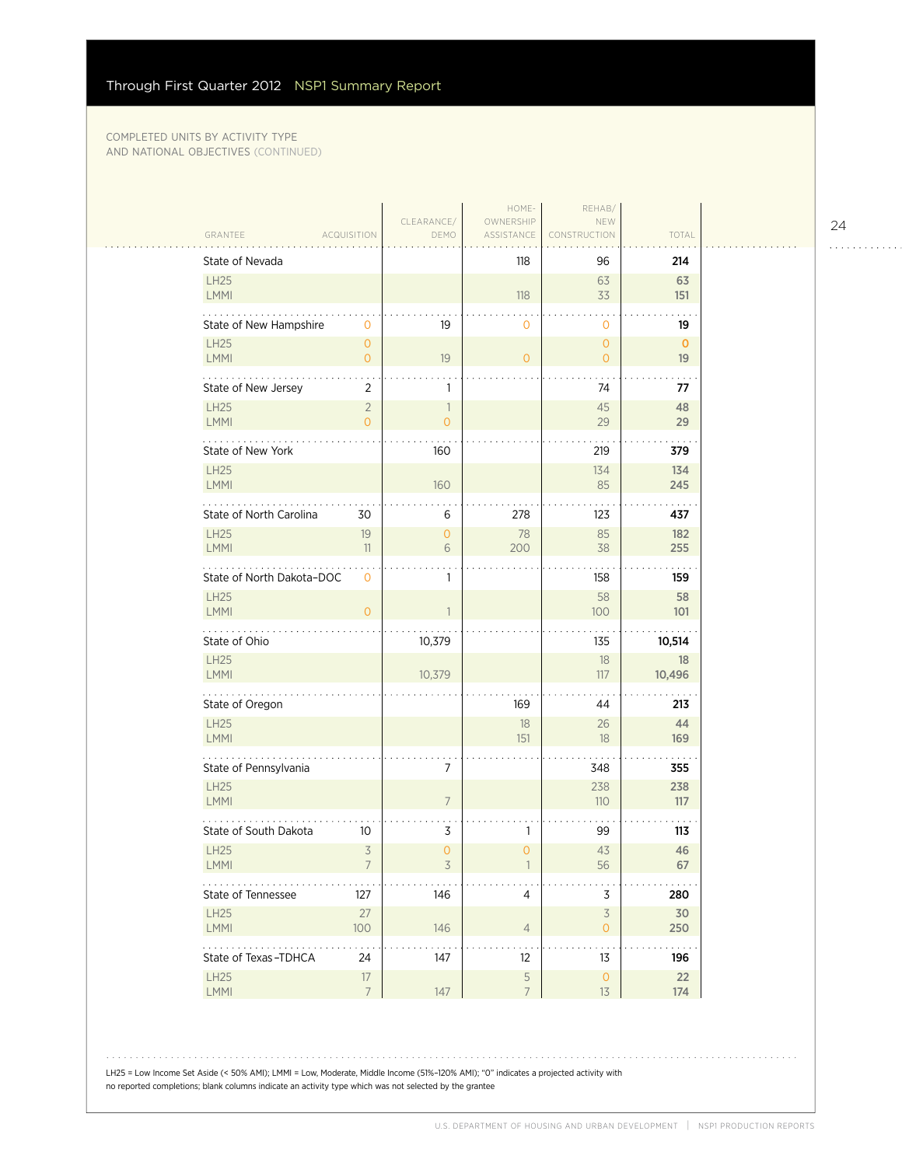|                                                                |                                  | HOME-                         | REHAB/                                     |              |  |
|----------------------------------------------------------------|----------------------------------|-------------------------------|--------------------------------------------|--------------|--|
| GRANTEE<br><b>ACQUISITION</b>                                  | CLEARANCE/<br>DEMO               | OWNERSHIP<br>ASSISTANCE       | NEW<br>CONSTRUCTION                        | TOTAL        |  |
| State of Nevada                                                |                                  | 118                           | 96                                         | 214          |  |
| <b>LH25</b>                                                    |                                  |                               | 63                                         | 63           |  |
| LMMI                                                           |                                  | 118                           | 33                                         | 151          |  |
| State of New Hampshire<br>$\mathbf{O}$                         | 19                               | $\mathbf 0$                   | $\mathbf{0}$                               | 19           |  |
| <b>LH25</b><br>$\mathsf{O}\xspace$                             |                                  |                               | $\overline{0}$                             | $\mathbf{O}$ |  |
| LMMI<br>$\mathbf{O}$                                           | 19                               | $\overline{0}$                | $\overline{O}$                             | 19           |  |
| State of New Jersey<br>2                                       | 1                                |                               | 74                                         | 77           |  |
| <b>LH25</b><br>$\overline{2}$<br><b>LMMI</b><br>$\overline{0}$ | $\overline{1}$<br>$\overline{O}$ |                               | 45<br>29                                   | 48<br>29     |  |
|                                                                |                                  |                               |                                            |              |  |
| State of New York                                              | 160                              |                               | 219                                        | 379          |  |
| <b>LH25</b><br>LMMI                                            | 160                              |                               | 134<br>85                                  | 134<br>245   |  |
|                                                                |                                  |                               |                                            |              |  |
| State of North Carolina<br>30                                  | 6                                | 278                           | 123                                        | 437          |  |
| <b>LH25</b><br>19<br>LMMI<br>11                                | $\mathbf{0}$<br>6                | 78<br>200                     | 85<br>38                                   | 182<br>255   |  |
|                                                                |                                  |                               |                                            |              |  |
| State of North Dakota-DOC<br>$\mathbf 0$                       | 1                                |                               | 158                                        | 159          |  |
| <b>LH25</b><br>LMMI<br>$\mathbf{O}$                            | 1                                |                               | 58<br>100                                  | 58<br>101    |  |
|                                                                |                                  |                               |                                            |              |  |
| State of Ohio                                                  | 10,379                           |                               | 135                                        | 10,514       |  |
| <b>LH25</b><br>LMMI                                            | 10,379                           |                               | 18<br>117                                  | 18<br>10,496 |  |
| .                                                              |                                  |                               |                                            |              |  |
| State of Oregon                                                |                                  | 169                           | 44                                         | 213          |  |
| <b>LH25</b><br><b>LMMI</b>                                     |                                  | 18<br>151                     | 26<br>18                                   | 44<br>169    |  |
|                                                                |                                  |                               |                                            |              |  |
| State of Pennsylvania                                          | 7                                |                               | 348                                        | 355          |  |
| <b>LH25</b><br>LMMI                                            | $\overline{7}$                   |                               | 238<br>110                                 | 238<br>117   |  |
|                                                                |                                  |                               |                                            |              |  |
| State of South Dakota<br>10                                    | 3                                | 1                             | 99                                         | 113          |  |
| $\overline{3}$<br><b>LH25</b><br><b>LMMI</b>                   | $\overline{O}$<br>3              | $\overline{O}$                | 43<br>56                                   | 46<br>67     |  |
|                                                                |                                  |                               |                                            |              |  |
| 127<br>State of Tennessee                                      | 146                              | 4                             | 3                                          | 280          |  |
| <b>LH25</b><br>27<br>LMMI<br>100                               | 146                              | $\overline{4}$                | $\overline{\mathcal{S}}$<br>$\overline{O}$ | 30<br>250    |  |
| $\mathbb{Z}^2$ . The set of $\mathbb{Z}^2$                     |                                  |                               |                                            |              |  |
| State of Texas-TDHCA<br>24                                     | 147                              | 12                            | 13                                         | 196          |  |
| LH25<br>$17\phantom{.}$<br>LMMI<br>$\overline{7}$              | 147                              | $\mathsf S$<br>$\overline{7}$ | $\mathsf O$<br>13                          | 22<br>174    |  |
|                                                                |                                  |                               |                                            |              |  |

LH25 = Low Income Set Aside (< 50% AMI); LMMI = Low, Moderate, Middle Income (51%–120% AMI); "0" indicates a projected activity with no reported completions; blank columns indicate an activity type which was not selected by the grantee

24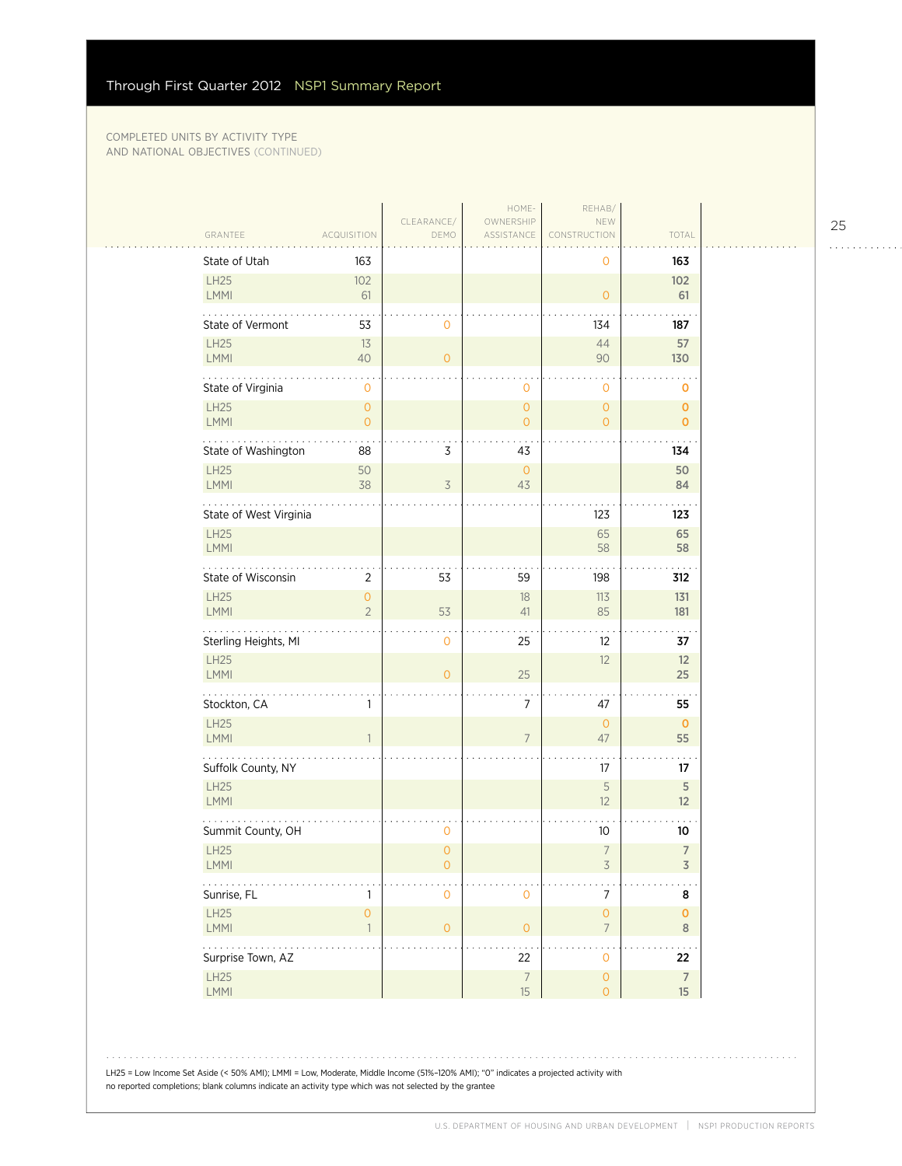$\sim$  .

|                            |                                     |                     | HOME-                   | REHAB/                                |                         |
|----------------------------|-------------------------------------|---------------------|-------------------------|---------------------------------------|-------------------------|
| GRANTEE                    | ACQUISITION                         | CLEARANCE/<br>DEMO  | OWNERSHIP<br>ASSISTANCE | NEW<br>CONSTRUCTION                   | TOTAL                   |
| State of Utah              | 163                                 |                     |                         | $\mathbf 0$                           | 163                     |
| LH25                       | 102                                 |                     |                         |                                       | 102                     |
| <b>LMMI</b>                | 61                                  |                     |                         | $\mathbf{O}$                          | 61                      |
| State of Vermont           | 53                                  | 0                   |                         | 134                                   | 187                     |
| LH25<br><b>LMMI</b>        | 13<br>40                            | $\overline{O}$      |                         | 44<br>90                              | 57<br>130               |
| State of Virginia          | 0                                   |                     | $\mathbf 0$             | $\mathbf 0$                           | 0                       |
| LH25                       | $\overline{0}$                      |                     | $\overline{0}$          | $\mathbf{O}$                          | $\mathbf{O}$            |
| <b>LMMI</b>                | $\overline{0}$                      |                     | $\overline{O}$          | $\mathbf{O}$                          | $\mathbf{0}$            |
| State of Washington        | 88                                  | 3                   | 43                      |                                       | 134                     |
| LH25<br><b>LMMI</b>        | 50<br>38                            | $\overline{3}$      | $\mathbf{O}$<br>43      |                                       | 50<br>84                |
| State of West Virginia     |                                     |                     |                         | 123                                   | 123                     |
| LH25                       |                                     |                     |                         | 65                                    | 65                      |
| <b>LMMI</b>                |                                     |                     |                         | 58                                    | 58                      |
| State of Wisconsin         | $\overline{2}$                      | 53                  | 59                      | 198                                   | 312                     |
| <b>LH25</b><br><b>LMMI</b> | $\overline{O}$<br>$\overline{2}$    | 53                  | 18<br>41                | 113<br>85                             | 131<br>181              |
| Sterling Heights, MI       |                                     | $\mathbf 0$         | 25                      | $12 \overline{ }$                     | 37                      |
| LH25<br>LMMI               |                                     | $\overline{0}$      | 25                      | 12                                    | 12<br>25                |
| Stockton, CA               | 1                                   |                     | 7                       | 47                                    | 55                      |
| LH25                       |                                     |                     |                         | $\mathsf{O}\xspace$                   | $\mathbf{O}$            |
| <b>LMMI</b>                |                                     |                     | $\overline{7}$          | 47                                    | 55                      |
| Suffolk County, NY         |                                     |                     |                         | 17                                    | 17                      |
| <b>LH25</b><br><b>LMMI</b> |                                     |                     |                         | 5<br>12                               | 5<br>12                 |
| Summit County, OH          |                                     | 0                   |                         | 10                                    | 10                      |
| <b>LH25</b><br>LMMI        |                                     | $\overline{0}$<br>0 |                         | $\overline{7}$<br>$\overline{3}$      | $\overline{7}$<br>3     |
| $\ldots$<br>Sunrise, FL    | 1                                   | 0                   | $\mathsf{O}\xspace$     | $\boldsymbol{7}$                      | 8                       |
| LH25<br>LMMI               | $\mathsf{O}\xspace$<br>$\mathbf{1}$ | $\circ$             | $\mathsf{O}\xspace$     | $\mathsf{O}\xspace$<br>$\overline{7}$ | $\mathbf{O}$<br>$\,8\,$ |
| .<br>Surprise Town, AZ     |                                     |                     | $\bullet$<br>22         | $\ddot{\phantom{1}}$<br>$\mathbf{O}$  | 22                      |
| LH25                       |                                     |                     | $\boldsymbol{7}$        | $\mathsf{O}\xspace$                   | $\overline{7}$          |
| LMMI                       |                                     |                     | 15                      | $\circ$                               | 15 <sup>15</sup>        |

25

. . . . . . . . . . . .

LH25 = Low Income Set Aside (< 50% AMI); LMMI = Low, Moderate, Middle Income (51%–120% AMI); "0" indicates a projected activity with no reported completions; blank columns indicate an activity type which was not selected by the grantee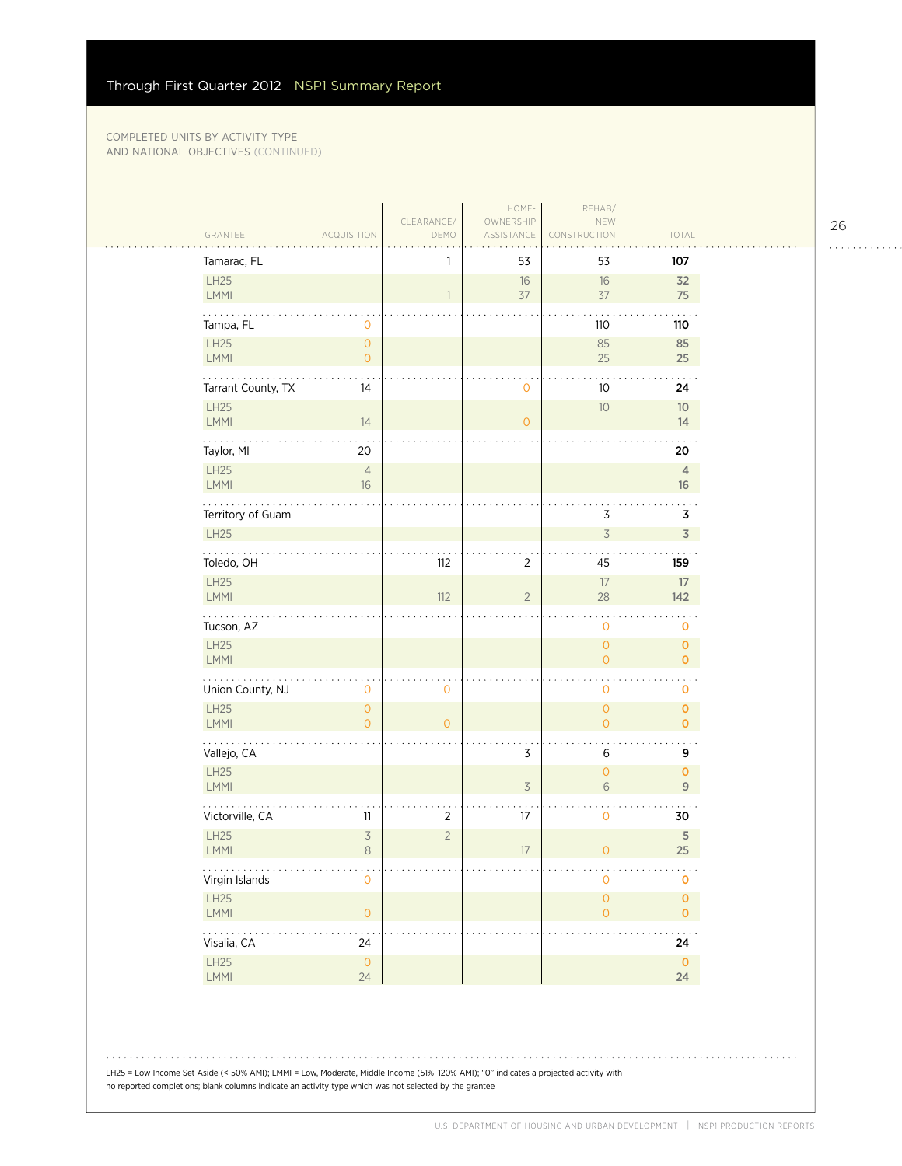|                                                       | CLEARANCE/     | HOME-<br>OWNERSHIP       | REHAB/<br>NEW                         |                                    |
|-------------------------------------------------------|----------------|--------------------------|---------------------------------------|------------------------------------|
| GRANTEE<br>ACQUISITION                                | DEMO           | ASSISTANCE               | CONSTRUCTION                          | TOTAL                              |
| Tamarac, FL                                           | 1              | 53                       | 53                                    | 107                                |
| LH25                                                  |                | 16                       | 16                                    | 32                                 |
| LMMI                                                  | 1              | 37                       | 37                                    | 75                                 |
| Tampa, FL<br>0                                        |                |                          | 110                                   | 110                                |
| LH25<br>$\mathsf{O}\xspace$<br>LMMI<br>$\overline{0}$ |                |                          | 85<br>25                              | 85<br>25                           |
| .                                                     |                |                          |                                       |                                    |
| Tarrant County, TX<br>14<br>LH25                      |                | 0                        | 10                                    | 24<br>10 <sup>°</sup>              |
| LMMI<br>14                                            |                | $\overline{0}$           | $10$                                  | 14                                 |
| Taylor, MI<br>20                                      |                |                          |                                       | 20                                 |
| <b>LH25</b><br>$\overline{4}$<br>LMMI<br>$16\,$       |                |                          |                                       | $\overline{4}$<br>16               |
| Territory of Guam                                     |                |                          | 3                                     | 3                                  |
| LH25                                                  |                |                          | $\overline{3}$                        | $\overline{3}$                     |
| .<br>Toledo, OH                                       | 112            | $\overline{2}$           | 45                                    | 159                                |
| LH25<br>LMMI                                          | 112            | $\overline{2}$           | $17\,$<br>28                          | 17<br>142                          |
| Tucson, AZ                                            |                |                          | $\mathbf 0$                           | o                                  |
| LH25<br>LMMI                                          |                |                          | $\mathsf{O}\xspace$<br>$\overline{0}$ | $\pmb{0}$<br>$\overline{0}$        |
| .<br>Union County, NJ<br>$\mathsf{O}\xspace$          | $\mathbf 0$    |                          | $\mathbf 0$                           | 0                                  |
| <b>LH25</b><br>$\mathsf{O}\xspace$                    |                |                          | $\mathsf{O}\xspace$                   | $\mathbf 0$                        |
| $\overline{0}$<br>LMMI                                | $\overline{0}$ |                          | $\overline{O}$                        | $\mathbf{O}$                       |
| Vallejo, CA                                           |                | 3                        | 6                                     | 9                                  |
| LH25<br>LMMI                                          |                | $\overline{\mathcal{S}}$ | $\mathbf{O}$<br>6                     | $\mathbf{O}$<br>$\overline{9}$     |
| Victorville, CA<br>11                                 | $\overline{2}$ | 17                       | $\mathbf 0$                           | 30                                 |
| LH25<br>$\overline{\mathcal{S}}$<br>$\,8\,$<br>LMMI   | $\overline{2}$ | 17                       | $\overline{0}$                        | 5<br>25                            |
| .<br>. .<br>Virgin Islands<br>0                       |                |                          | $\mathsf{O}\xspace$                   | 0                                  |
| LH25<br>$\mathsf{O}\xspace$<br>LMMI                   |                |                          | $\mathsf{O}\xspace$<br>$\mathsf O$    | $\pmb{\mathsf{O}}$<br>$\mathbf{O}$ |
| .<br>. .<br>Visalia, CA<br>24                         |                |                          |                                       | $\ddot{\phantom{a}}$<br>24         |
| LH25<br>$\mathsf O$<br>LMMI<br>24                     |                |                          |                                       | $\mathbf 0$<br>24                  |

LH25 = Low Income Set Aside (< 50% AMI); LMMI = Low, Moderate, Middle Income (51%–120% AMI); "0" indicates a projected activity with no reported completions; blank columns indicate an activity type which was not selected by the grantee

26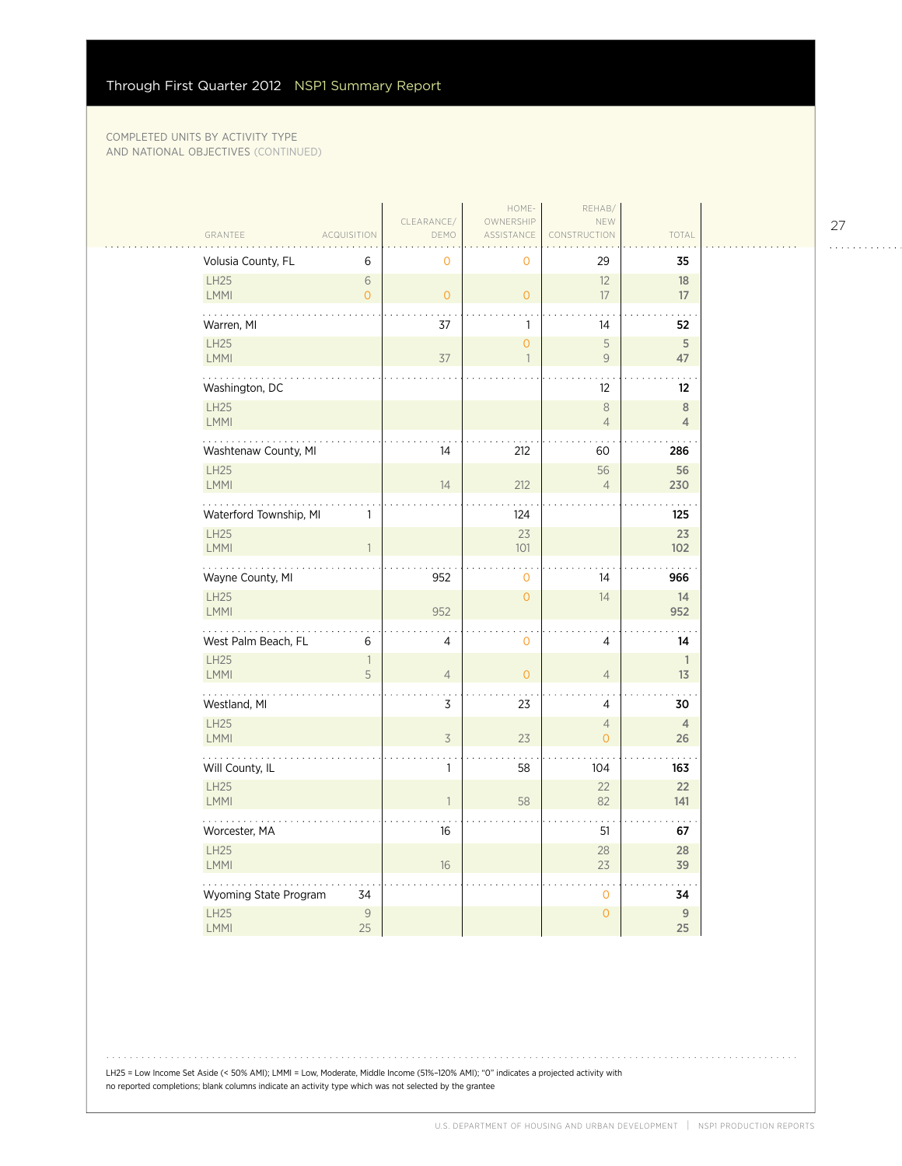| GRANTEE                    | <b>ACQUISITION</b>  | CLEARANCE/<br>DEMO | HOME-<br>OWNERSHIP<br>ASSISTANCE | REHAB/<br>NEW<br>CONSTRUCTION    | TOTAL                |
|----------------------------|---------------------|--------------------|----------------------------------|----------------------------------|----------------------|
| Volusia County, FL         | 6                   | $\mathbf 0$        | $\mathbf 0$                      | 29                               | 35                   |
| <b>LH25</b><br><b>LMMI</b> | 6<br>$\overline{O}$ | $\Omega$           | $\overline{O}$                   | 12<br>17                         | 18<br>17             |
| .<br>Warren, MI            |                     | 37                 | $\mathbf{1}$                     | 14                               | 52                   |
| <b>LH25</b><br>LMMI        |                     | 37                 | $\overline{0}$<br>$\overline{1}$ | 5<br>$\mathcal{G}$               | 5<br>47              |
| Washington, DC             |                     |                    |                                  | 12                               | $12 \,$              |
| <b>LH25</b><br>LMMI        |                     |                    |                                  | $\,8\,$<br>$\overline{4}$        | 8<br>$\overline{4}$  |
| Washtenaw County, MI       |                     | 14                 | 212                              | 60                               | 286                  |
| LH25<br><b>LMMI</b>        |                     | 14                 | 212                              | 56<br>$\overline{4}$             | 56<br>230            |
| Waterford Township, MI     | 1                   |                    | 124                              |                                  | 125                  |
| <b>LH25</b><br>LMMI        | $\overline{1}$      |                    | 23<br>101                        |                                  | 23<br>102            |
| Wayne County, MI           |                     | 952                | $\mathbf 0$                      | 14                               | 966                  |
| <b>LH25</b><br>LMMI        |                     | 952                | $\overline{0}$                   | 14                               | 14<br>952            |
| West Palm Beach, FL        | 6                   | 4                  | $\mathbf 0$                      | 4                                | 14                   |
| <b>LH25</b><br>LMMI        | $\overline{1}$<br>5 | $\overline{4}$     | $\overline{0}$                   | $\overline{4}$                   | $\mathbf{1}$<br>13   |
| Westland, MI               |                     | 3                  | 23                               | 4                                | 30                   |
| <b>LH25</b><br>LMMI        |                     | $\overline{3}$     | 23                               | $\overline{4}$<br>$\overline{0}$ | $\overline{4}$<br>26 |
| Will County, IL            |                     | 1                  | 58                               | 104                              | 163                  |
| <b>LH25</b><br>LMMI        |                     | $\mathbf{1}$       | 58                               | 22<br>82                         | 22<br>141            |
| Worcester, MA              |                     | 16                 |                                  | 51                               | 67                   |
| <b>LH25</b><br>LMMI        |                     | 16                 |                                  | 28<br>23                         | 28<br>39             |
| Wyoming State Program      | 34                  |                    |                                  | $\mathbf 0$                      | 34                   |
| <b>LH25</b><br><b>LMMI</b> | $\mathcal{G}$<br>25 |                    |                                  | $\overline{0}$                   | $\overline{9}$<br>25 |

LH25 = Low Income Set Aside (< 50% AMI); LMMI = Low, Moderate, Middle Income (51%–120% AMI); "0" indicates a projected activity with no reported completions; blank columns indicate an activity type which was not selected by the grantee

27

. . . . . . . . . . . .

. . . . . . . . . . . . . . .